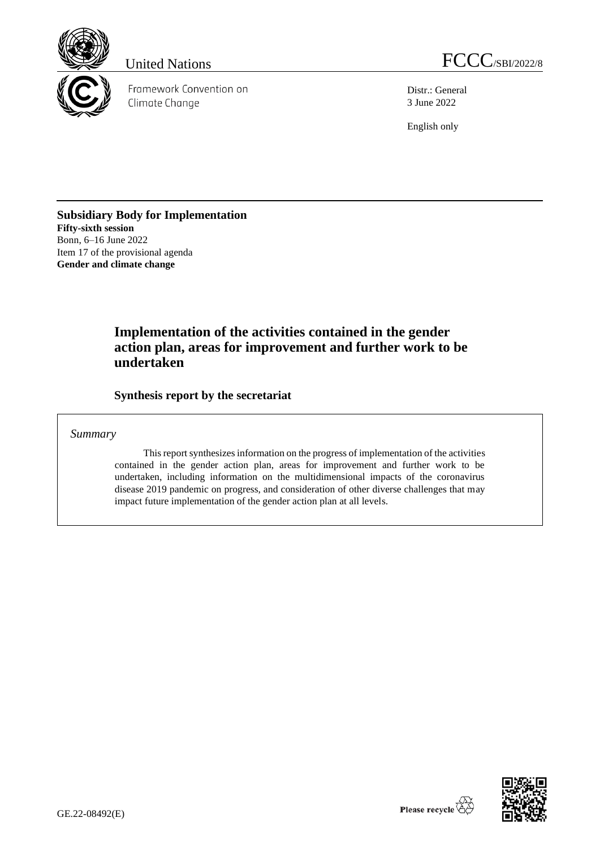

Framework Convention on Climate Change

United Nations FCCC/SBI/2022/8

Distr.: General 3 June 2022

English only

**Subsidiary Body for Implementation Fifty-sixth session** Bonn, 6–16 June 2022 Item 17 of the provisional agenda **Gender and climate change**

## **Implementation of the activities contained in the gender action plan, areas for improvement and further work to be undertaken**

**Synthesis report by the secretariat**

## *Summary*

This report synthesizes information on the progress of implementation of the activities contained in the gender action plan, areas for improvement and further work to be undertaken, including information on the multidimensional impacts of the coronavirus disease 2019 pandemic on progress, and consideration of other diverse challenges that may impact future implementation of the gender action plan at all levels.

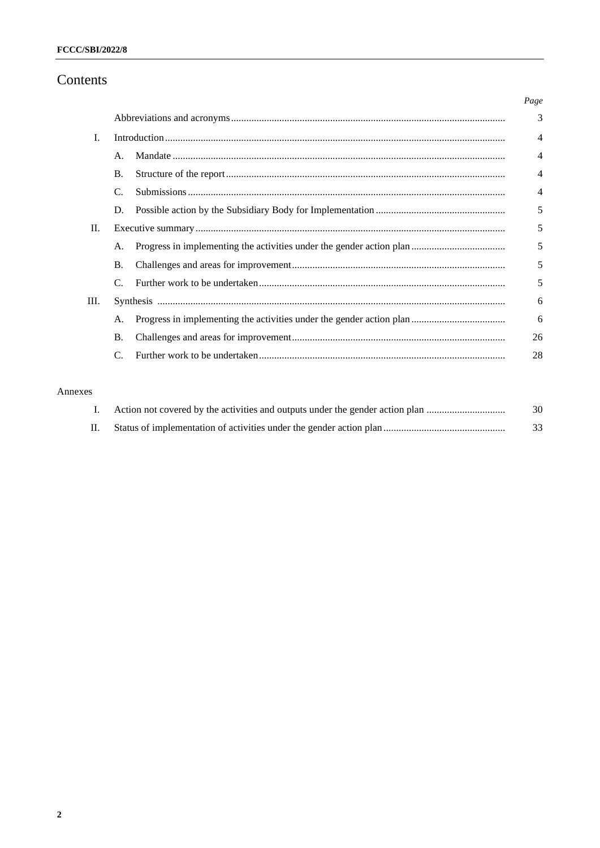## Contents

|    |                | Page           |
|----|----------------|----------------|
|    |                | 3              |
| I. |                | $\overline{4}$ |
|    | $\mathsf{A}$ . | $\overline{4}$ |
|    | B.             | $\overline{4}$ |
|    | C.             | $\overline{4}$ |
|    | D.             | 5              |
| П. |                | 5              |
|    | A.             | 5              |
|    | <b>B.</b>      | 5              |
|    | $\mathcal{C}$  | 5              |
| Ш. |                | 6              |
|    | A.             | 6              |
|    | <b>B.</b>      | 26             |
|    |                | 28             |

## Annexes

| Action not covered by the activities and outputs under the gender action plan | 30 |
|-------------------------------------------------------------------------------|----|
|                                                                               | 33 |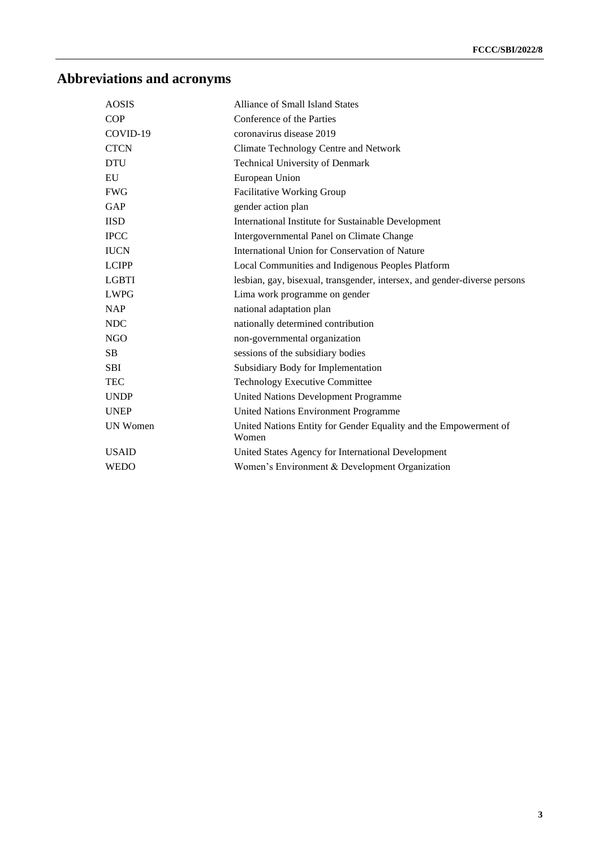# **Abbreviations and acronyms**

| <b>AOSIS</b>    | <b>Alliance of Small Island States</b>                                    |
|-----------------|---------------------------------------------------------------------------|
| <b>COP</b>      | Conference of the Parties                                                 |
| COVID-19        | coronavirus disease 2019                                                  |
| <b>CTCN</b>     | Climate Technology Centre and Network                                     |
| <b>DTU</b>      | <b>Technical University of Denmark</b>                                    |
| EU              | European Union                                                            |
| <b>FWG</b>      | Facilitative Working Group                                                |
| GAP             | gender action plan                                                        |
| <b>IISD</b>     | International Institute for Sustainable Development                       |
| <b>IPCC</b>     | Intergovernmental Panel on Climate Change                                 |
| <b>IUCN</b>     | International Union for Conservation of Nature                            |
| <b>LCIPP</b>    | Local Communities and Indigenous Peoples Platform                         |
| <b>LGBTI</b>    | lesbian, gay, bisexual, transgender, intersex, and gender-diverse persons |
| <b>LWPG</b>     | Lima work programme on gender                                             |
| <b>NAP</b>      | national adaptation plan                                                  |
| <b>NDC</b>      | nationally determined contribution                                        |
| <b>NGO</b>      | non-governmental organization                                             |
| <b>SB</b>       | sessions of the subsidiary bodies                                         |
| <b>SBI</b>      | Subsidiary Body for Implementation                                        |
| <b>TEC</b>      | <b>Technology Executive Committee</b>                                     |
| <b>UNDP</b>     | United Nations Development Programme                                      |
| <b>UNEP</b>     | <b>United Nations Environment Programme</b>                               |
| <b>UN Women</b> | United Nations Entity for Gender Equality and the Empowerment of<br>Women |
| <b>USAID</b>    | United States Agency for International Development                        |
| <b>WEDO</b>     | Women's Environment & Development Organization                            |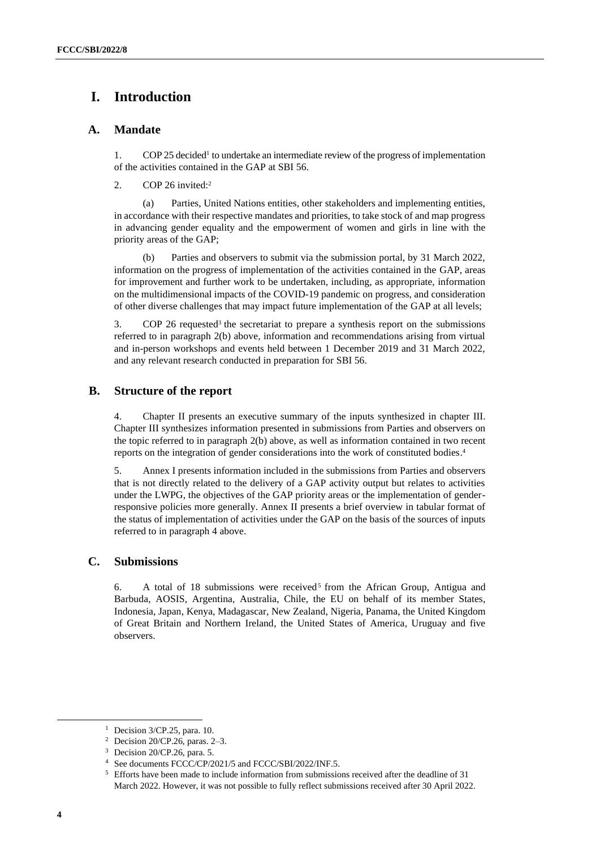## **I. Introduction**

## **A. Mandate**

1. COP 25 decided 1 to undertake an intermediate review of the progress of implementation of the activities contained in the GAP at SBI 56.

2. COP 26 invited:<sup>2</sup>

(a) Parties, United Nations entities, other stakeholders and implementing entities, in accordance with their respective mandates and priorities, to take stock of and map progress in advancing gender equality and the empowerment of women and girls in line with the priority areas of the GAP;

(b) Parties and observers to submit via the submission portal, by 31 March 2022, information on the progress of implementation of the activities contained in the GAP, areas for improvement and further work to be undertaken, including, as appropriate, information on the multidimensional impacts of the COVID-19 pandemic on progress, and consideration of other diverse challenges that may impact future implementation of the GAP at all levels;

3. COP 26 requested<sup>3</sup> the secretariat to prepare a synthesis report on the submissions referred to in paragraph 2(b) above, information and recommendations arising from virtual and in-person workshops and events held between 1 December 2019 and 31 March 2022, and any relevant research conducted in preparation for SBI 56.

## **B. Structure of the report**

4. Chapter II presents an executive summary of the inputs synthesized in chapter III. Chapter III synthesizes information presented in submissions from Parties and observers on the topic referred to in paragraph 2(b) above, as well as information contained in two recent reports on the integration of gender considerations into the work of constituted bodies. 4

5. Annex I presents information included in the submissions from Parties and observers that is not directly related to the delivery of a GAP activity output but relates to activities under the LWPG, the objectives of the GAP priority areas or the implementation of genderresponsive policies more generally. Annex II presents a brief overview in tabular format of the status of implementation of activities under the GAP on the basis of the sources of inputs referred to in paragraph 4 above.

## **C. Submissions**

6. A total of 18 submissions were received<sup>5</sup> from the African Group, Antigua and Barbuda, AOSIS, Argentina, Australia, Chile, the EU on behalf of its member States, Indonesia, Japan, Kenya, Madagascar, New Zealand, Nigeria, Panama, the United Kingdom of Great Britain and Northern Ireland, the United States of America, Uruguay and five observers.

<sup>&</sup>lt;sup>1</sup> Decision  $3$ /CP.25, para. 10.

<sup>2</sup> Decision 20/CP.26, paras. 2–3.

<sup>3</sup> Decision 20/CP.26, para. 5.

See documents FCCC/CP/2021/5 and FCCC/SBI/2022/INF.5.

<sup>&</sup>lt;sup>5</sup> Efforts have been made to include information from submissions received after the deadline of 31 March 2022. However, it was not possible to fully reflect submissions received after 30 April 2022.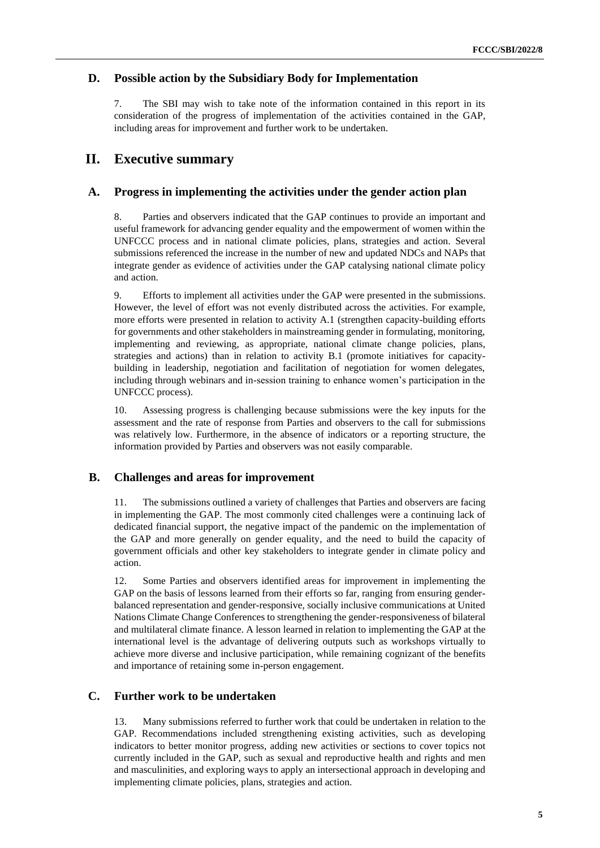## **D. Possible action by the Subsidiary Body for Implementation**

7. The SBI may wish to take note of the information contained in this report in its consideration of the progress of implementation of the activities contained in the GAP, including areas for improvement and further work to be undertaken.

## **II. Executive summary**

## **A. Progress in implementing the activities under the gender action plan**

8. Parties and observers indicated that the GAP continues to provide an important and useful framework for advancing gender equality and the empowerment of women within the UNFCCC process and in national climate policies, plans, strategies and action. Several submissions referenced the increase in the number of new and updated NDCs and NAPs that integrate gender as evidence of activities under the GAP catalysing national climate policy and action.

9. Efforts to implement all activities under the GAP were presented in the submissions. However, the level of effort was not evenly distributed across the activities. For example, more efforts were presented in relation to activity A.1 (strengthen capacity-building efforts for governments and other stakeholders in mainstreaming gender in formulating, monitoring, implementing and reviewing, as appropriate, national climate change policies, plans, strategies and actions) than in relation to activity B.1 (promote initiatives for capacitybuilding in leadership, negotiation and facilitation of negotiation for women delegates, including through webinars and in-session training to enhance women's participation in the UNFCCC process).

10. Assessing progress is challenging because submissions were the key inputs for the assessment and the rate of response from Parties and observers to the call for submissions was relatively low. Furthermore, in the absence of indicators or a reporting structure, the information provided by Parties and observers was not easily comparable.

### **B. Challenges and areas for improvement**

11. The submissions outlined a variety of challenges that Parties and observers are facing in implementing the GAP. The most commonly cited challenges were a continuing lack of dedicated financial support, the negative impact of the pandemic on the implementation of the GAP and more generally on gender equality, and the need to build the capacity of government officials and other key stakeholders to integrate gender in climate policy and action.

12. Some Parties and observers identified areas for improvement in implementing the GAP on the basis of lessons learned from their efforts so far, ranging from ensuring genderbalanced representation and gender-responsive, socially inclusive communications at United Nations Climate Change Conferences to strengthening the gender-responsiveness of bilateral and multilateral climate finance. A lesson learned in relation to implementing the GAP at the international level is the advantage of delivering outputs such as workshops virtually to achieve more diverse and inclusive participation, while remaining cognizant of the benefits and importance of retaining some in-person engagement.

## **C. Further work to be undertaken**

13. Many submissions referred to further work that could be undertaken in relation to the GAP. Recommendations included strengthening existing activities, such as developing indicators to better monitor progress, adding new activities or sections to cover topics not currently included in the GAP, such as sexual and reproductive health and rights and men and masculinities, and exploring ways to apply an intersectional approach in developing and implementing climate policies, plans, strategies and action.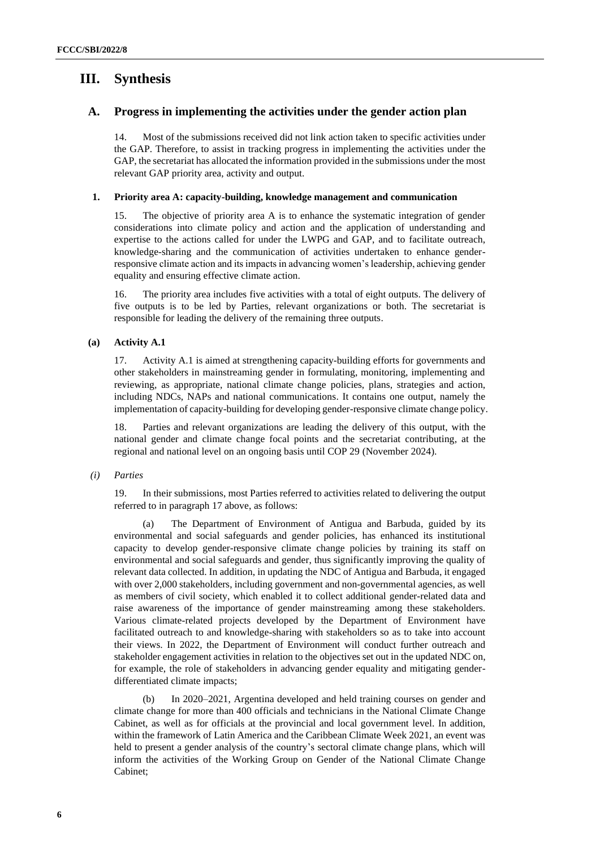## **III. Synthesis**

## **A. Progress in implementing the activities under the gender action plan**

14. Most of the submissions received did not link action taken to specific activities under the GAP. Therefore, to assist in tracking progress in implementing the activities under the GAP, the secretariat has allocated the information provided in the submissions under the most relevant GAP priority area, activity and output.

#### **1. Priority area A: capacity-building, knowledge management and communication**

15. The objective of priority area A is to enhance the systematic integration of gender considerations into climate policy and action and the application of understanding and expertise to the actions called for under the LWPG and GAP, and to facilitate outreach, knowledge-sharing and the communication of activities undertaken to enhance genderresponsive climate action and its impacts in advancing women's leadership, achieving gender equality and ensuring effective climate action.

16. The priority area includes five activities with a total of eight outputs. The delivery of five outputs is to be led by Parties, relevant organizations or both. The secretariat is responsible for leading the delivery of the remaining three outputs.

### **(a) Activity A.1**

17. Activity A.1 is aimed at strengthening capacity-building efforts for governments and other stakeholders in mainstreaming gender in formulating, monitoring, implementing and reviewing, as appropriate, national climate change policies, plans, strategies and action, including NDCs, NAPs and national communications. It contains one output, namely the implementation of capacity-building for developing gender-responsive climate change policy.

18. Parties and relevant organizations are leading the delivery of this output, with the national gender and climate change focal points and the secretariat contributing, at the regional and national level on an ongoing basis until COP 29 (November 2024).

### *(i) Parties*

19. In their submissions, most Parties referred to activities related to delivering the output referred to in paragraph 17 above, as follows:

(a) The Department of Environment of Antigua and Barbuda, guided by its environmental and social safeguards and gender policies, has enhanced its institutional capacity to develop gender-responsive climate change policies by training its staff on environmental and social safeguards and gender, thus significantly improving the quality of relevant data collected. In addition, in updating the NDC of Antigua and Barbuda, it engaged with over 2,000 stakeholders, including government and non-governmental agencies, as well as members of civil society, which enabled it to collect additional gender-related data and raise awareness of the importance of gender mainstreaming among these stakeholders. Various climate-related projects developed by the Department of Environment have facilitated outreach to and knowledge-sharing with stakeholders so as to take into account their views. In 2022, the Department of Environment will conduct further outreach and stakeholder engagement activities in relation to the objectives set out in the updated NDC on, for example, the role of stakeholders in advancing gender equality and mitigating genderdifferentiated climate impacts;

(b) In 2020–2021, Argentina developed and held training courses on gender and climate change for more than 400 officials and technicians in the National Climate Change Cabinet, as well as for officials at the provincial and local government level. In addition, within the framework of Latin America and the Caribbean Climate Week 2021, an event was held to present a gender analysis of the country's sectoral climate change plans, which will inform the activities of the Working Group on Gender of the National Climate Change Cabinet;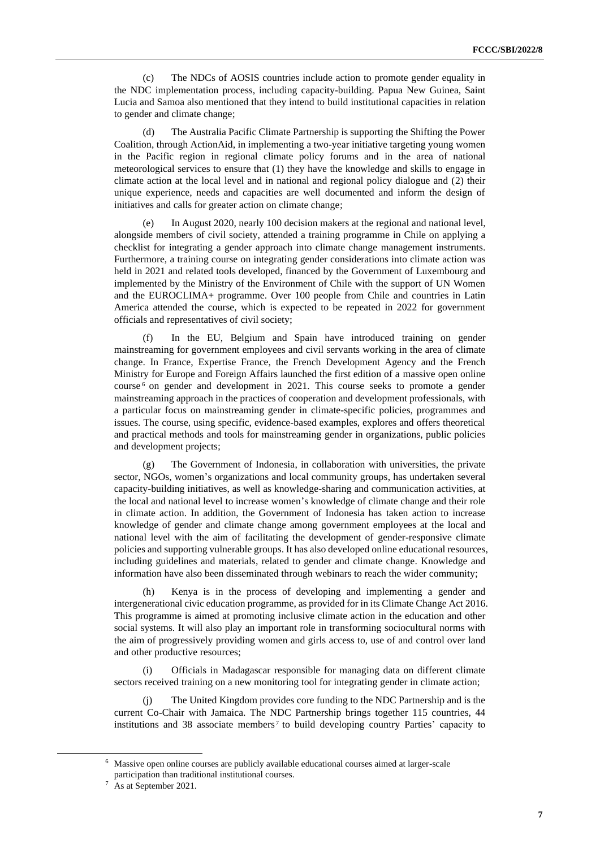(c) The NDCs of AOSIS countries include action to promote gender equality in the NDC implementation process, including capacity-building. Papua New Guinea, Saint Lucia and Samoa also mentioned that they intend to build institutional capacities in relation to gender and climate change;

The Australia Pacific Climate Partnership is supporting the Shifting the Power Coalition, through ActionAid, in implementing a two-year initiative targeting young women in the Pacific region in regional climate policy forums and in the area of national meteorological services to ensure that (1) they have the knowledge and skills to engage in climate action at the local level and in national and regional policy dialogue and (2) their unique experience, needs and capacities are well documented and inform the design of initiatives and calls for greater action on climate change;

In August 2020, nearly 100 decision makers at the regional and national level, alongside members of civil society, attended a training programme in Chile on applying a checklist for integrating a gender approach into climate change management instruments. Furthermore, a training course on integrating gender considerations into climate action was held in 2021 and related tools developed, financed by the Government of Luxembourg and implemented by the Ministry of the Environment of Chile with the support of UN Women and the EUROCLIMA+ programme. Over 100 people from Chile and countries in Latin America attended the course, which is expected to be repeated in 2022 for government officials and representatives of civil society;

In the EU, Belgium and Spain have introduced training on gender mainstreaming for government employees and civil servants working in the area of climate change. In France, Expertise France, the French Development Agency and the French Ministry for Europe and Foreign Affairs launched the first edition of a massive open online course <sup>6</sup> on gender and development in 2021. This course seeks to promote a gender mainstreaming approach in the practices of cooperation and development professionals, with a particular focus on mainstreaming gender in climate-specific policies, programmes and issues. The course, using specific, evidence-based examples, explores and offers theoretical and practical methods and tools for mainstreaming gender in organizations, public policies and development projects;

(g) The Government of Indonesia, in collaboration with universities, the private sector, NGOs, women's organizations and local community groups, has undertaken several capacity-building initiatives, as well as knowledge-sharing and communication activities, at the local and national level to increase women's knowledge of climate change and their role in climate action. In addition, the Government of Indonesia has taken action to increase knowledge of gender and climate change among government employees at the local and national level with the aim of facilitating the development of gender-responsive climate policies and supporting vulnerable groups. It has also developed online educational resources, including guidelines and materials, related to gender and climate change. Knowledge and information have also been disseminated through webinars to reach the wider community;

(h) Kenya is in the process of developing and implementing a gender and intergenerational civic education programme, as provided for in its Climate Change Act 2016. This programme is aimed at promoting inclusive climate action in the education and other social systems. It will also play an important role in transforming sociocultural norms with the aim of progressively providing women and girls access to, use of and control over land and other productive resources;

(i) Officials in Madagascar responsible for managing data on different climate sectors received training on a new monitoring tool for integrating gender in climate action;

(j) The United Kingdom provides core funding to the NDC Partnership and is the current Co-Chair with Jamaica. The NDC Partnership brings together 115 countries, 44 institutions and 38 associate members<sup>7</sup> to build developing country Parties' capacity to

<sup>6</sup> Massive open online courses are publicly available educational courses aimed at larger-scale participation than traditional institutional courses.

<sup>7</sup> As at September 2021.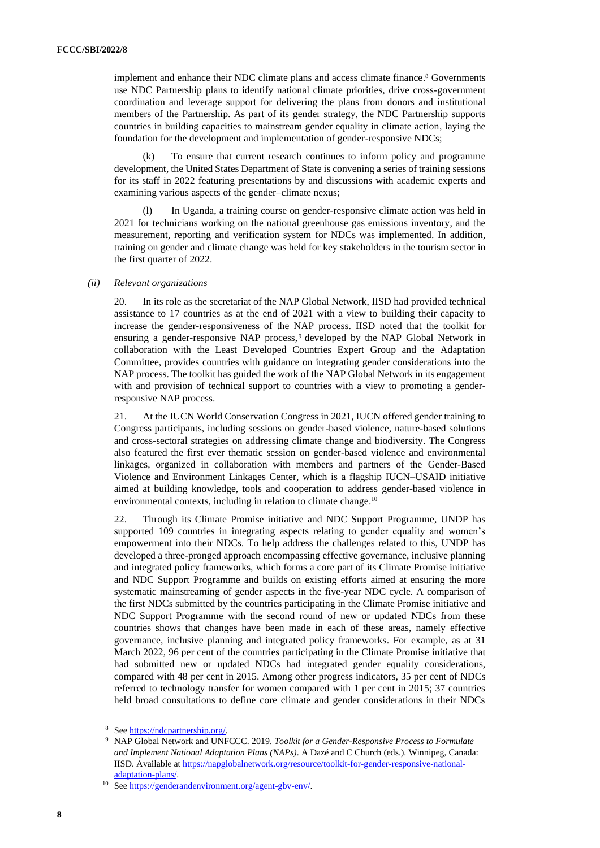implement and enhance their NDC climate plans and access climate finance. <sup>8</sup> Governments use NDC Partnership plans to identify national climate priorities, drive cross-government coordination and leverage support for delivering the plans from donors and institutional members of the Partnership. As part of its gender strategy, the NDC Partnership supports countries in building capacities to mainstream gender equality in climate action, laying the foundation for the development and implementation of gender-responsive NDCs;

(k) To ensure that current research continues to inform policy and programme development, the United States Department of State is convening a series of training sessions for its staff in 2022 featuring presentations by and discussions with academic experts and examining various aspects of the gender–climate nexus;

(l) In Uganda, a training course on gender-responsive climate action was held in 2021 for technicians working on the national greenhouse gas emissions inventory, and the measurement, reporting and verification system for NDCs was implemented. In addition, training on gender and climate change was held for key stakeholders in the tourism sector in the first quarter of 2022.

#### *(ii) Relevant organizations*

20. In its role as the secretariat of the NAP Global Network, IISD had provided technical assistance to 17 countries as at the end of 2021 with a view to building their capacity to increase the gender-responsiveness of the NAP process. IISD noted that the toolkit for ensuring a gender-responsive NAP process, <sup>9</sup> developed by the NAP Global Network in collaboration with the Least Developed Countries Expert Group and the Adaptation Committee, provides countries with guidance on integrating gender considerations into the NAP process. The toolkit has guided the work of the NAP Global Network in its engagement with and provision of technical support to countries with a view to promoting a genderresponsive NAP process.

21. At the IUCN World Conservation Congress in 2021, IUCN offered gender training to Congress participants, including sessions on gender-based violence, nature-based solutions and cross-sectoral strategies on addressing climate change and biodiversity. The Congress also featured the first ever thematic session on gender-based violence and environmental linkages, organized in collaboration with members and partners of the Gender-Based Violence and Environment Linkages Center, which is a flagship IUCN–USAID initiative aimed at building knowledge, tools and cooperation to address gender-based violence in environmental contexts, including in relation to climate change.<sup>10</sup>

22. Through its Climate Promise initiative and NDC Support Programme, UNDP has supported 109 countries in integrating aspects relating to gender equality and women's empowerment into their NDCs. To help address the challenges related to this, UNDP has developed a three-pronged approach encompassing effective governance, inclusive planning and integrated policy frameworks, which forms a core part of its Climate Promise initiative and NDC Support Programme and builds on existing efforts aimed at ensuring the more systematic mainstreaming of gender aspects in the five-year NDC cycle. A comparison of the first NDCs submitted by the countries participating in the Climate Promise initiative and NDC Support Programme with the second round of new or updated NDCs from these countries shows that changes have been made in each of these areas, namely effective governance, inclusive planning and integrated policy frameworks. For example, as at 31 March 2022, 96 per cent of the countries participating in the Climate Promise initiative that had submitted new or updated NDCs had integrated gender equality considerations, compared with 48 per cent in 2015. Among other progress indicators, 35 per cent of NDCs referred to technology transfer for women compared with 1 per cent in 2015; 37 countries held broad consultations to define core climate and gender considerations in their NDCs

<sup>8</sup> Se[e https://ndcpartnership.org/.](https://ndcpartnership.org/)

<sup>9</sup> NAP Global Network and UNFCCC. 2019. *Toolkit for a Gender-Responsive Process to Formulate and Implement National Adaptation Plans (NAPs)*. A Dazé and C Church (eds.). Winnipeg, Canada: IISD. Available a[t https://napglobalnetwork.org/resource/toolkit-for-gender-responsive-national](https://napglobalnetwork.org/resource/toolkit-for-gender-responsive-national-adaptation-plans/)[adaptation-plans/.](https://napglobalnetwork.org/resource/toolkit-for-gender-responsive-national-adaptation-plans/)

<sup>10</sup> Se[e https://genderandenvironment.org/agent-gbv-env/.](https://genderandenvironment.org/agent-gbv-env/)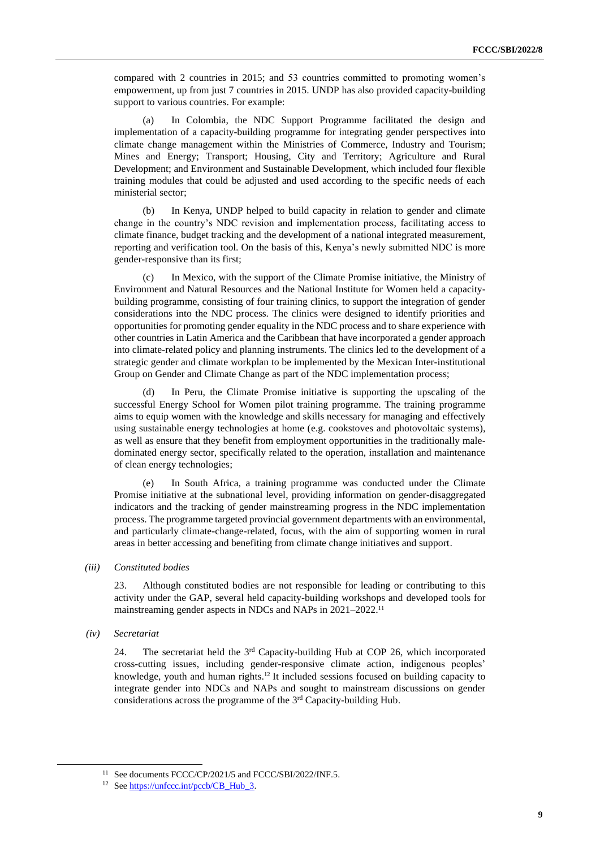compared with 2 countries in 2015; and 53 countries committed to promoting women's empowerment, up from just 7 countries in 2015. UNDP has also provided capacity-building support to various countries. For example:

(a) In Colombia, the NDC Support Programme facilitated the design and implementation of a capacity-building programme for integrating gender perspectives into climate change management within the Ministries of Commerce, Industry and Tourism; Mines and Energy; Transport; Housing, City and Territory; Agriculture and Rural Development; and Environment and Sustainable Development, which included four flexible training modules that could be adjusted and used according to the specific needs of each ministerial sector;

(b) In Kenya, UNDP helped to build capacity in relation to gender and climate change in the country's NDC revision and implementation process, facilitating access to climate finance, budget tracking and the development of a national integrated measurement, reporting and verification tool. On the basis of this, Kenya's newly submitted NDC is more gender-responsive than its first;

(c) In Mexico, with the support of the Climate Promise initiative, the Ministry of Environment and Natural Resources and the National Institute for Women held a capacitybuilding programme, consisting of four training clinics, to support the integration of gender considerations into the NDC process. The clinics were designed to identify priorities and opportunities for promoting gender equality in the NDC process and to share experience with other countries in Latin America and the Caribbean that have incorporated a gender approach into climate-related policy and planning instruments. The clinics led to the development of a strategic gender and climate workplan to be implemented by the Mexican Inter-institutional Group on Gender and Climate Change as part of the NDC implementation process;

(d) In Peru, the Climate Promise initiative is supporting the upscaling of the successful Energy School for Women pilot training programme. The training programme aims to equip women with the knowledge and skills necessary for managing and effectively using sustainable energy technologies at home (e.g. cookstoves and photovoltaic systems), as well as ensure that they benefit from employment opportunities in the traditionally maledominated energy sector, specifically related to the operation, installation and maintenance of clean energy technologies;

(e) In South Africa, a training programme was conducted under the Climate Promise initiative at the subnational level, providing information on gender-disaggregated indicators and the tracking of gender mainstreaming progress in the NDC implementation process. The programme targeted provincial government departments with an environmental, and particularly climate-change-related, focus, with the aim of supporting women in rural areas in better accessing and benefiting from climate change initiatives and support.

#### *(iii) Constituted bodies*

23. Although constituted bodies are not responsible for leading or contributing to this activity under the GAP, several held capacity-building workshops and developed tools for mainstreaming gender aspects in NDCs and NAPs in 2021-2022.<sup>11</sup>

*(iv) Secretariat*

24. The secretariat held the 3<sup>rd</sup> Capacity-building Hub at COP 26, which incorporated cross-cutting issues, including gender-responsive climate action, indigenous peoples' knowledge, youth and human rights.<sup>12</sup> It included sessions focused on building capacity to integrate gender into NDCs and NAPs and sought to mainstream discussions on gender considerations across the programme of the 3rd Capacity-building Hub.

<sup>&</sup>lt;sup>11</sup> See documents FCCC/CP/2021/5 and FCCC/SBI/2022/INF.5.

<sup>&</sup>lt;sup>12</sup> Se[e https://unfccc.int/pccb/CB\\_Hub\\_3.](https://unfccc.int/pccb/CB_Hub_3)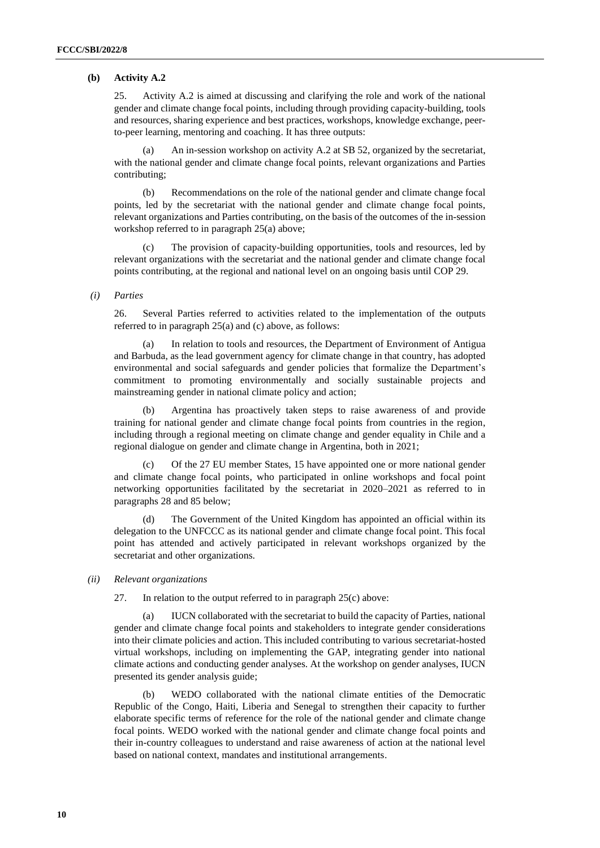## **(b) Activity A.2**

25. Activity A.2 is aimed at discussing and clarifying the role and work of the national gender and climate change focal points, including through providing capacity-building, tools and resources, sharing experience and best practices, workshops, knowledge exchange, peerto-peer learning, mentoring and coaching. It has three outputs:

(a) An in-session workshop on activity A.2 at SB 52, organized by the secretariat, with the national gender and climate change focal points, relevant organizations and Parties contributing;

(b) Recommendations on the role of the national gender and climate change focal points, led by the secretariat with the national gender and climate change focal points, relevant organizations and Parties contributing, on the basis of the outcomes of the in-session workshop referred to in paragraph 25(a) above;

The provision of capacity-building opportunities, tools and resources, led by relevant organizations with the secretariat and the national gender and climate change focal points contributing, at the regional and national level on an ongoing basis until COP 29.

#### *(i) Parties*

26. Several Parties referred to activities related to the implementation of the outputs referred to in paragraph 25(a) and (c) above, as follows:

(a) In relation to tools and resources, the Department of Environment of Antigua and Barbuda, as the lead government agency for climate change in that country, has adopted environmental and social safeguards and gender policies that formalize the Department's commitment to promoting environmentally and socially sustainable projects and mainstreaming gender in national climate policy and action;

(b) Argentina has proactively taken steps to raise awareness of and provide training for national gender and climate change focal points from countries in the region, including through a regional meeting on climate change and gender equality in Chile and a regional dialogue on gender and climate change in Argentina, both in 2021;

(c) Of the 27 EU member States, 15 have appointed one or more national gender and climate change focal points, who participated in online workshops and focal point networking opportunities facilitated by the secretariat in 2020–2021 as referred to in paragraphs 28 and 85 below;

The Government of the United Kingdom has appointed an official within its delegation to the UNFCCC as its national gender and climate change focal point. This focal point has attended and actively participated in relevant workshops organized by the secretariat and other organizations.

#### *(ii) Relevant organizations*

27. In relation to the output referred to in paragraph 25(c) above:

(a) IUCN collaborated with the secretariat to build the capacity of Parties, national gender and climate change focal points and stakeholders to integrate gender considerations into their climate policies and action. This included contributing to various secretariat-hosted virtual workshops, including on implementing the GAP, integrating gender into national climate actions and conducting gender analyses. At the workshop on gender analyses, IUCN presented its gender analysis guide;

(b) WEDO collaborated with the national climate entities of the Democratic Republic of the Congo, Haiti, Liberia and Senegal to strengthen their capacity to further elaborate specific terms of reference for the role of the national gender and climate change focal points. WEDO worked with the national gender and climate change focal points and their in-country colleagues to understand and raise awareness of action at the national level based on national context, mandates and institutional arrangements.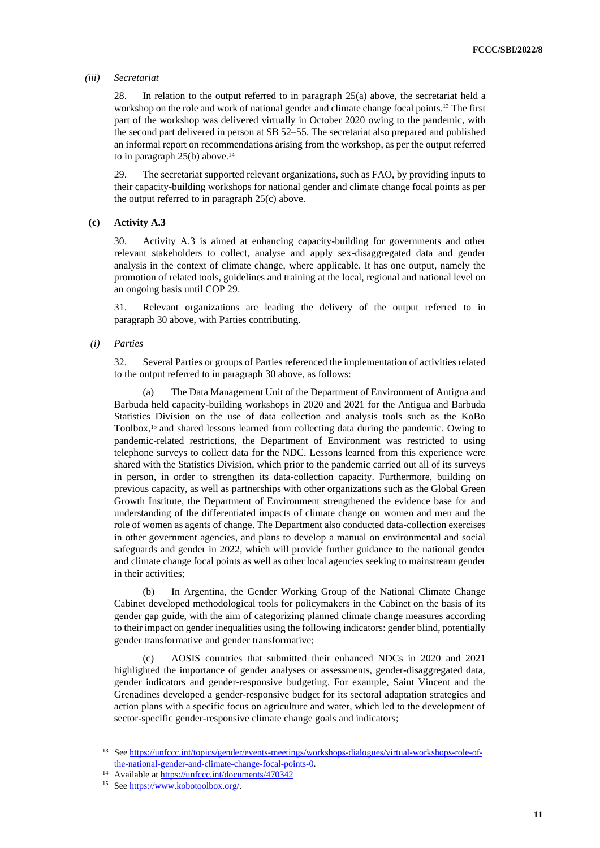#### *(iii) Secretariat*

28. In relation to the output referred to in paragraph 25(a) above, the secretariat held a workshop on the role and work of national gender and climate change focal points.<sup>13</sup> The first part of the workshop was delivered virtually in October 2020 owing to the pandemic, with the second part delivered in person at SB 52–55. The secretariat also prepared and published an informal report on recommendations arising from the workshop, as per the output referred to in paragraph 25(b) above. 14

29. The secretariat supported relevant organizations, such as FAO, by providing inputs to their capacity-building workshops for national gender and climate change focal points as per the output referred to in paragraph 25(c) above.

#### **(c) Activity A.3**

30. Activity A.3 is aimed at enhancing capacity-building for governments and other relevant stakeholders to collect, analyse and apply sex-disaggregated data and gender analysis in the context of climate change, where applicable. It has one output, namely the promotion of related tools, guidelines and training at the local, regional and national level on an ongoing basis until COP 29.

31. Relevant organizations are leading the delivery of the output referred to in paragraph 30 above, with Parties contributing.

#### *(i) Parties*

32. Several Parties or groups of Parties referenced the implementation of activities related to the output referred to in paragraph 30 above, as follows:

(a) The Data Management Unit of the Department of Environment of Antigua and Barbuda held capacity-building workshops in 2020 and 2021 for the Antigua and Barbuda Statistics Division on the use of data collection and analysis tools such as the KoBo Toolbox,<sup>15</sup> and shared lessons learned from collecting data during the pandemic. Owing to pandemic-related restrictions, the Department of Environment was restricted to using telephone surveys to collect data for the NDC. Lessons learned from this experience were shared with the Statistics Division, which prior to the pandemic carried out all of its surveys in person, in order to strengthen its data-collection capacity. Furthermore, building on previous capacity, as well as partnerships with other organizations such as the Global Green Growth Institute, the Department of Environment strengthened the evidence base for and understanding of the differentiated impacts of climate change on women and men and the role of women as agents of change. The Department also conducted data-collection exercises in other government agencies, and plans to develop a manual on environmental and social safeguards and gender in 2022, which will provide further guidance to the national gender and climate change focal points as well as other local agencies seeking to mainstream gender in their activities;

(b) In Argentina, the Gender Working Group of the National Climate Change Cabinet developed methodological tools for policymakers in the Cabinet on the basis of its gender gap guide, with the aim of categorizing planned climate change measures according to their impact on gender inequalities using the following indicators: gender blind, potentially gender transformative and gender transformative;

(c) AOSIS countries that submitted their enhanced NDCs in 2020 and 2021 highlighted the importance of gender analyses or assessments, gender-disaggregated data, gender indicators and gender-responsive budgeting. For example, Saint Vincent and the Grenadines developed a gender-responsive budget for its sectoral adaptation strategies and action plans with a specific focus on agriculture and water, which led to the development of sector-specific gender-responsive climate change goals and indicators;

<sup>13</sup> Se[e https://unfccc.int/topics/gender/events-meetings/workshops-dialogues/virtual-workshops-role-of](https://unfccc.int/topics/gender/events-meetings/workshops-dialogues/virtual-workshops-role-of-the-national-gender-and-climate-change-focal-points-0)[the-national-gender-and-climate-change-focal-points-0.](https://unfccc.int/topics/gender/events-meetings/workshops-dialogues/virtual-workshops-role-of-the-national-gender-and-climate-change-focal-points-0) 

<sup>14</sup> Available at <https://unfccc.int/documents/470342>

<sup>15</sup> Se[e https://www.kobotoolbox.org/.](https://www.kobotoolbox.org/)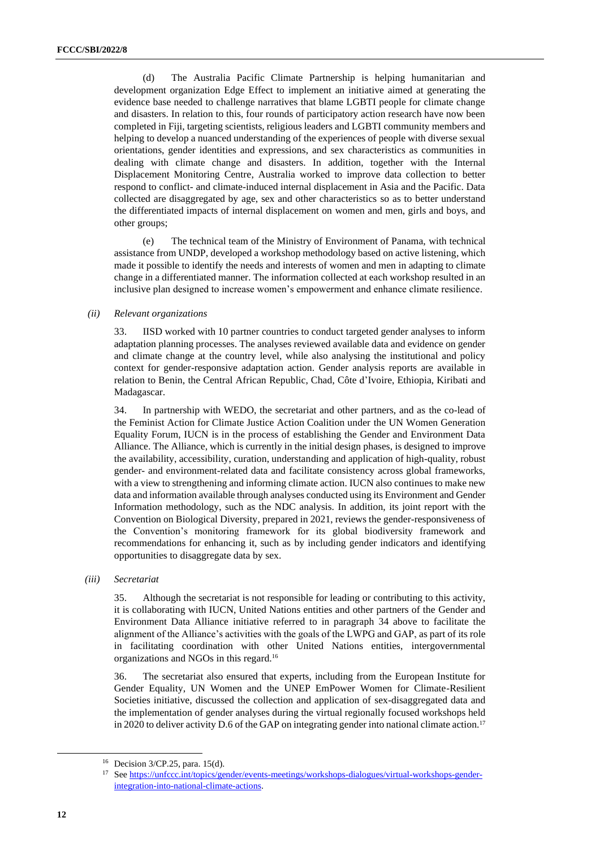(d) The Australia Pacific Climate Partnership is helping humanitarian and development organization Edge Effect to implement an initiative aimed at generating the evidence base needed to challenge narratives that blame LGBTI people for climate change and disasters. In relation to this, four rounds of participatory action research have now been completed in Fiji, targeting scientists, religious leaders and LGBTI community members and helping to develop a nuanced understanding of the experiences of people with diverse sexual orientations, gender identities and expressions, and sex characteristics as communities in dealing with climate change and disasters. In addition, together with the Internal Displacement Monitoring Centre, Australia worked to improve data collection to better respond to conflict- and climate-induced internal displacement in Asia and the Pacific. Data collected are disaggregated by age, sex and other characteristics so as to better understand the differentiated impacts of internal displacement on women and men, girls and boys, and other groups;

(e) The technical team of the Ministry of Environment of Panama, with technical assistance from UNDP, developed a workshop methodology based on active listening, which made it possible to identify the needs and interests of women and men in adapting to climate change in a differentiated manner. The information collected at each workshop resulted in an inclusive plan designed to increase women's empowerment and enhance climate resilience.

#### *(ii) Relevant organizations*

33. IISD worked with 10 partner countries to conduct targeted gender analyses to inform adaptation planning processes. The analyses reviewed available data and evidence on gender and climate change at the country level, while also analysing the institutional and policy context for gender-responsive adaptation action. Gender analysis reports are available in relation to Benin, the Central African Republic, Chad, Côte d'Ivoire, Ethiopia, Kiribati and Madagascar.

34. In partnership with WEDO, the secretariat and other partners, and as the co-lead of the Feminist Action for Climate Justice Action Coalition under the UN Women Generation Equality Forum, IUCN is in the process of establishing the Gender and Environment Data Alliance. The Alliance, which is currently in the initial design phases, is designed to improve the availability, accessibility, curation, understanding and application of high-quality, robust gender- and environment-related data and facilitate consistency across global frameworks, with a view to strengthening and informing climate action. IUCN also continues to make new data and information available through analyses conducted using its Environment and Gender Information methodology, such as the NDC analysis. In addition, its joint report with the Convention on Biological Diversity, prepared in 2021, reviews the gender-responsiveness of the Convention's monitoring framework for its global biodiversity framework and recommendations for enhancing it, such as by including gender indicators and identifying opportunities to disaggregate data by sex.

#### *(iii) Secretariat*

35. Although the secretariat is not responsible for leading or contributing to this activity, it is collaborating with IUCN, United Nations entities and other partners of the Gender and Environment Data Alliance initiative referred to in paragraph 34 above to facilitate the alignment of the Alliance's activities with the goals of the LWPG and GAP, as part of its role in facilitating coordination with other United Nations entities, intergovernmental organizations and NGOs in this regard.<sup>16</sup>

36. The secretariat also ensured that experts, including from the European Institute for Gender Equality, UN Women and the UNEP EmPower Women for Climate-Resilient Societies initiative, discussed the collection and application of sex-disaggregated data and the implementation of gender analyses during the virtual regionally focused workshops held in 2020 to deliver activity D.6 of the GAP on integrating gender into national climate action.<sup>17</sup>

<sup>16</sup> Decision 3/CP.25, para. 15(d).

<sup>&</sup>lt;sup>17</sup> See [https://unfccc.int/topics/gender/events-meetings/workshops-dialogues/virtual-workshops-gender](https://unfccc.int/topics/gender/events-meetings/workshops-dialogues/virtual-workshops-gender-integration-into-national-climate-actions)[integration-into-national-climate-actions.](https://unfccc.int/topics/gender/events-meetings/workshops-dialogues/virtual-workshops-gender-integration-into-national-climate-actions)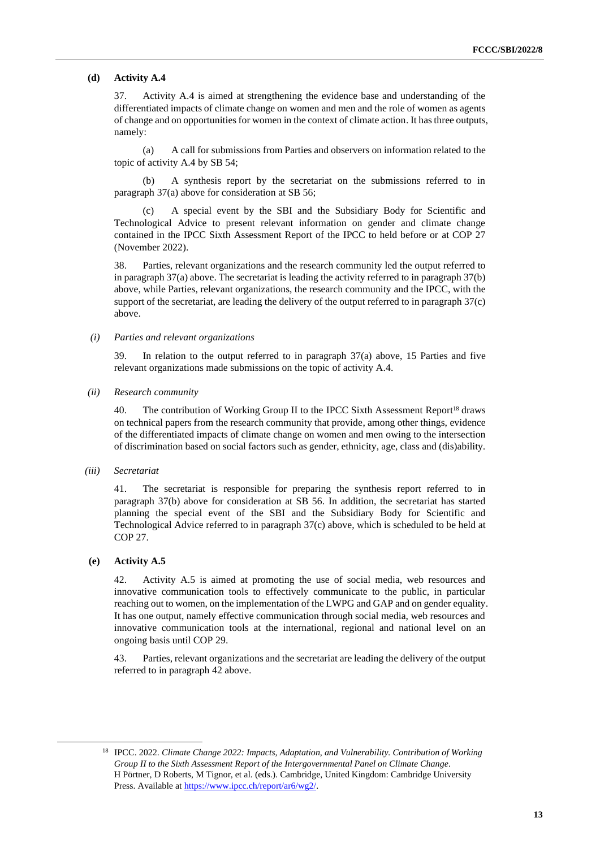#### **(d) Activity A.4**

37. Activity A.4 is aimed at strengthening the evidence base and understanding of the differentiated impacts of climate change on women and men and the role of women as agents of change and on opportunities for women in the context of climate action. It hasthree outputs, namely:

(a) A call for submissions from Parties and observers on information related to the topic of activity A.4 by SB 54;

(b) A synthesis report by the secretariat on the submissions referred to in paragraph 37(a) above for consideration at SB 56;

A special event by the SBI and the Subsidiary Body for Scientific and Technological Advice to present relevant information on gender and climate change contained in the IPCC Sixth Assessment Report of the IPCC to held before or at COP 27 (November 2022).

38. Parties, relevant organizations and the research community led the output referred to in paragraph 37(a) above. The secretariat is leading the activity referred to in paragraph 37(b) above, while Parties, relevant organizations, the research community and the IPCC, with the support of the secretariat, are leading the delivery of the output referred to in paragraph 37(c) above.

*(i) Parties and relevant organizations*

39. In relation to the output referred to in paragraph 37(a) above, 15 Parties and five relevant organizations made submissions on the topic of activity A.4.

*(ii) Research community*

40. The contribution of Working Group II to the IPCC Sixth Assessment Report<sup>18</sup> draws on technical papers from the research community that provide, among other things, evidence of the differentiated impacts of climate change on women and men owing to the intersection of discrimination based on social factors such as gender, ethnicity, age, class and (dis)ability.

*(iii) Secretariat* 

41. The secretariat is responsible for preparing the synthesis report referred to in paragraph 37(b) above for consideration at SB 56. In addition, the secretariat has started planning the special event of the SBI and the Subsidiary Body for Scientific and Technological Advice referred to in paragraph 37(c) above, which is scheduled to be held at COP 27.

#### **(e) Activity A.5**

42. Activity A.5 is aimed at promoting the use of social media, web resources and innovative communication tools to effectively communicate to the public, in particular reaching out to women, on the implementation of the LWPG and GAP and on gender equality. It has one output, namely effective communication through social media, web resources and innovative communication tools at the international, regional and national level on an ongoing basis until COP 29.

43. Parties, relevant organizations and the secretariat are leading the delivery of the output referred to in paragraph 42 above.

<sup>18</sup> IPCC. 2022. *Climate Change 2022: Impacts, Adaptation, and Vulnerability. Contribution of Working Group II to the Sixth Assessment Report of the Intergovernmental Panel on Climate Change*. H Pörtner, D Roberts, M Tignor, et al. (eds.). Cambridge, United Kingdom: Cambridge University Press. Available at [https://www.ipcc.ch/report/ar6/wg2/.](https://www.ipcc.ch/report/ar6/wg2/)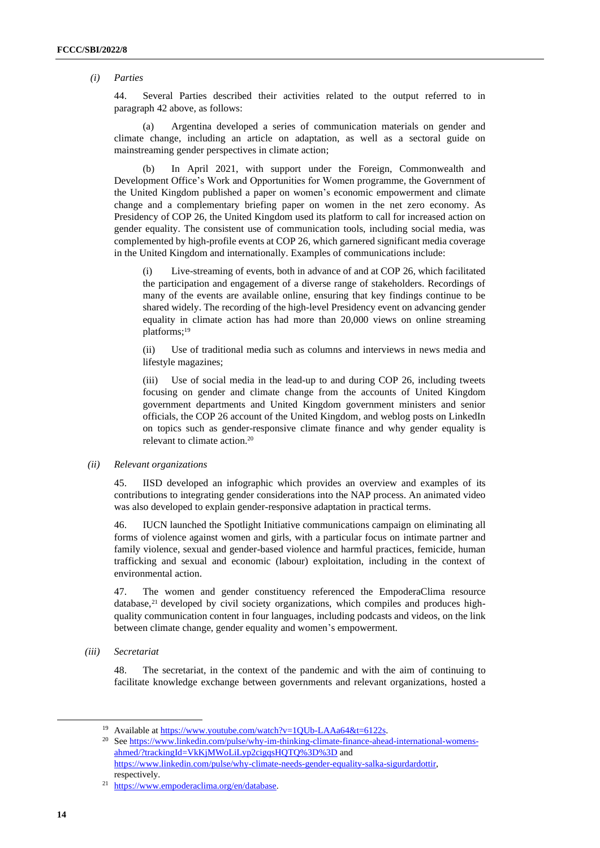#### *(i) Parties*

44. Several Parties described their activities related to the output referred to in paragraph 42 above, as follows:

(a) Argentina developed a series of communication materials on gender and climate change, including an article on adaptation, as well as a sectoral guide on mainstreaming gender perspectives in climate action;

(b) In April 2021, with support under the Foreign, Commonwealth and Development Office's Work and Opportunities for Women programme, the Government of the United Kingdom published a paper on women's economic empowerment and climate change and a complementary briefing paper on women in the net zero economy. As Presidency of COP 26, the United Kingdom used its platform to call for increased action on gender equality. The consistent use of communication tools, including social media, was complemented by high-profile events at COP 26, which garnered significant media coverage in the United Kingdom and internationally. Examples of communications include:

(i) Live-streaming of events, both in advance of and at COP 26, which facilitated the participation and engagement of a diverse range of stakeholders. Recordings of many of the events are available online, ensuring that key findings continue to be shared widely. The recording of the high-level Presidency event on advancing gender equality in climate action has had more than 20,000 views on online streaming platforms; 19

(ii) Use of traditional media such as columns and interviews in news media and lifestyle magazines;

(iii) Use of social media in the lead-up to and during COP 26, including tweets focusing on gender and climate change from the accounts of United Kingdom government departments and United Kingdom government ministers and senior officials, the COP 26 account of the United Kingdom, and weblog posts on LinkedIn on topics such as gender-responsive climate finance and why gender equality is relevant to climate action. 20

#### *(ii) Relevant organizations*

45. IISD developed an infographic which provides an overview and examples of its contributions to integrating gender considerations into the NAP process. An animated video was also developed to explain gender-responsive adaptation in practical terms.

46. IUCN launched the Spotlight Initiative communications campaign on eliminating all forms of violence against women and girls, with a particular focus on intimate partner and family violence, sexual and gender-based violence and harmful practices, femicide, human trafficking and sexual and economic (labour) exploitation, including in the context of environmental action.

47. The women and gender constituency referenced the EmpoderaClima resource database, <sup>21</sup> developed by civil society organizations, which compiles and produces highquality communication content in four languages, including podcasts and videos, on the link between climate change, gender equality and women's empowerment.

*(iii) Secretariat*

48. The secretariat, in the context of the pandemic and with the aim of continuing to facilitate knowledge exchange between governments and relevant organizations, hosted a

<sup>&</sup>lt;sup>19</sup> Available a[t https://www.youtube.com/watch?v=1QUb-LAAa64&t=6122s.](https://www.youtube.com/watch?v=1QUb-LAAa64&t=6122s)

<sup>&</sup>lt;sup>20</sup> Se[e https://www.linkedin.com/pulse/why-im-thinking-climate-finance-ahead-international-womens](https://www.linkedin.com/pulse/why-im-thinking-climate-finance-ahead-international-womens-ahmed/?trackingId=VkKjMWoLiLyp2cigqsHQTQ%3D%3D)[ahmed/?trackingId=VkKjMWoLiLyp2cigqsHQTQ%3D%3D](https://www.linkedin.com/pulse/why-im-thinking-climate-finance-ahead-international-womens-ahmed/?trackingId=VkKjMWoLiLyp2cigqsHQTQ%3D%3D) and [https://www.linkedin.com/pulse/why-climate-needs-gender-equality-salka-sigurdardottir,](https://www.linkedin.com/pulse/why-climate-needs-gender-equality-salka-sigurdardottir) respectively.

<sup>21</sup> [https://www.empoderaclima.org/en/database.](https://www.empoderaclima.org/en/database)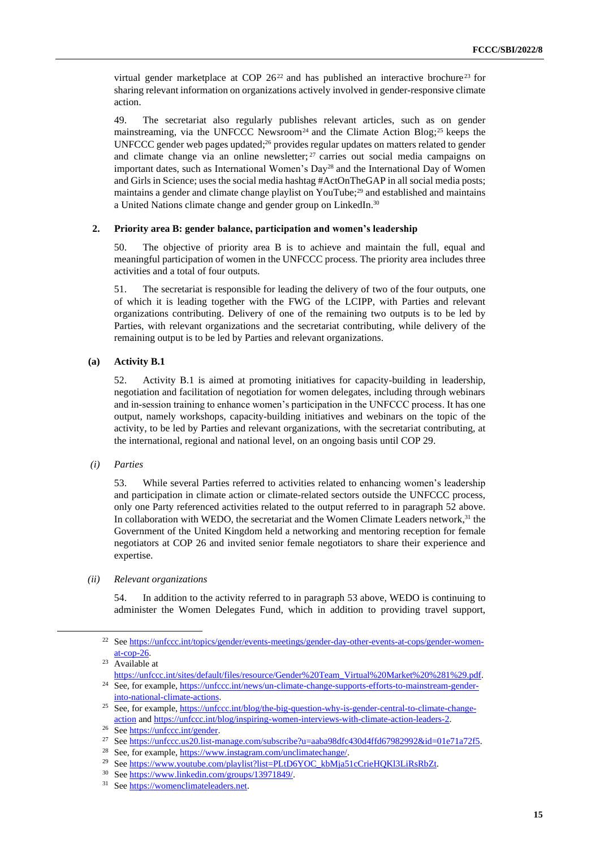virtual gender marketplace at COP 26<sup>22</sup> and has published an interactive brochure<sup>23</sup> for sharing relevant information on organizations actively involved in gender-responsive climate action.

49. The secretariat also regularly publishes relevant articles, such as on gender mainstreaming, via the UNFCCC Newsroom<sup>24</sup> and the Climate Action Blog;<sup>25</sup> keeps the UNFCCC gender web pages updated; $26$  provides regular updates on matters related to gender and climate change via an online newsletter; <sup>27</sup> carries out social media campaigns on important dates, such as International Women's Day<sup>28</sup> and the International Day of Women and Girls in Science; uses the social media hashtag #ActOnTheGAP in all social media posts; maintains a gender and climate change playlist on YouTube;<sup>29</sup> and established and maintains a United Nations climate change and gender group on LinkedIn. 30

#### **2. Priority area B: gender balance, participation and women's leadership**

50. The objective of priority area B is to achieve and maintain the full, equal and meaningful participation of women in the UNFCCC process. The priority area includes three activities and a total of four outputs.

51. The secretariat is responsible for leading the delivery of two of the four outputs, one of which it is leading together with the FWG of the LCIPP, with Parties and relevant organizations contributing. Delivery of one of the remaining two outputs is to be led by Parties, with relevant organizations and the secretariat contributing, while delivery of the remaining output is to be led by Parties and relevant organizations.

#### **(a) Activity B.1**

52. Activity B.1 is aimed at promoting initiatives for capacity-building in leadership, negotiation and facilitation of negotiation for women delegates, including through webinars and in-session training to enhance women's participation in the UNFCCC process. It has one output, namely workshops, capacity-building initiatives and webinars on the topic of the activity, to be led by Parties and relevant organizations, with the secretariat contributing, at the international, regional and national level, on an ongoing basis until COP 29.

#### *(i) Parties*

53. While several Parties referred to activities related to enhancing women's leadership and participation in climate action or climate-related sectors outside the UNFCCC process, only one Party referenced activities related to the output referred to in paragraph 52 above. In collaboration with WEDO, the secretariat and the Women Climate Leaders network,<sup>31</sup> the Government of the United Kingdom held a networking and mentoring reception for female negotiators at COP 26 and invited senior female negotiators to share their experience and expertise.

#### *(ii) Relevant organizations*

54. In addition to the activity referred to in paragraph 53 above, WEDO is continuing to administer the Women Delegates Fund, which in addition to providing travel support,

<sup>&</sup>lt;sup>22</sup> See [https://unfccc.int/topics/gender/events-meetings/gender-day-other-events-at-cops/gender-women](https://unfccc.int/topics/gender/events-meetings/gender-day-other-events-at-cops/gender-women-at-cop-26)[at-cop-26.](https://unfccc.int/topics/gender/events-meetings/gender-day-other-events-at-cops/gender-women-at-cop-26)

<sup>23</sup> Available at

[https://unfccc.int/sites/default/files/resource/Gender%20Team\\_Virtual%20Market%20%281%29.pdf.](https://unfccc.int/sites/default/files/resource/Gender%20Team_Virtual%20Market%20%281%29.pdf)  <sup>24</sup> See, for example[, https://unfccc.int/news/un-climate-change-supports-efforts-to-mainstream-gender-](https://unfccc.int/news/un-climate-change-supports-efforts-to-mainstream-gender-into-national-climate-actions)

[into-national-climate-actions.](https://unfccc.int/news/un-climate-change-supports-efforts-to-mainstream-gender-into-national-climate-actions) 

<sup>&</sup>lt;sup>25</sup> See, for example, [https://unfccc.int/blog/the-big-question-why-is-gender-central-to-climate-change](https://unfccc.int/blog/the-big-question-why-is-gender-central-to-climate-change-action)[action](https://unfccc.int/blog/the-big-question-why-is-gender-central-to-climate-change-action) and [https://unfccc.int/blog/inspiring-women-interviews-with-climate-action-leaders-2.](https://unfccc.int/blog/inspiring-women-interviews-with-climate-action-leaders-2)

<sup>&</sup>lt;sup>26</sup> Se[e https://unfccc.int/gender.](https://unfccc.int/gender)

<sup>&</sup>lt;sup>27</sup> See https://unfccc.us20.list-manage.com/subscribe?u=aaba98dfc430d4ffd67982992&id=01e71a72f5.

<sup>&</sup>lt;sup>28</sup> See, for example[, https://www.instagram.com/unclimatechange/.](https://www.instagram.com/unclimatechange/)

<sup>&</sup>lt;sup>29</sup> Se[e https://www.youtube.com/playlist?list=PLtD6YOC\\_kbMja51cCrieHQKl3LiRsRbZt.](https://www.youtube.com/playlist?list=PLtD6YOC_kbMja51cCrieHQKl3LiRsRbZt)

<sup>30</sup> Se[e https://www.linkedin.com/groups/13971849/.](https://www.linkedin.com/groups/13971849/)

<sup>&</sup>lt;sup>31</sup> Se[e https://womenclimateleaders.net.](https://eur01.safelinks.protection.outlook.com/?url=https%3A%2F%2Fwomenclimateleaders.net%2F&data=05%7C01%7CFNewman%40unfccc.int%7Ca63f1d7059594f31ae7608da4070ccc7%7C2a6c12ad406a4f33b686f78ff5822208%7C0%7C0%7C637893150480106521%7CUnknown%7CTWFpbGZsb3d8eyJWIjoiMC4wLjAwMDAiLCJQIjoiV2luMzIiLCJBTiI6Ik1haWwiLCJXVCI6Mn0%3D%7C3000%7C%7C%7C&sdata=RH8K0A4oWjA7%2BYL%2B1VDzS%2BNe5Maev5PJ2kefIMRVnD4%3D&reserved=0)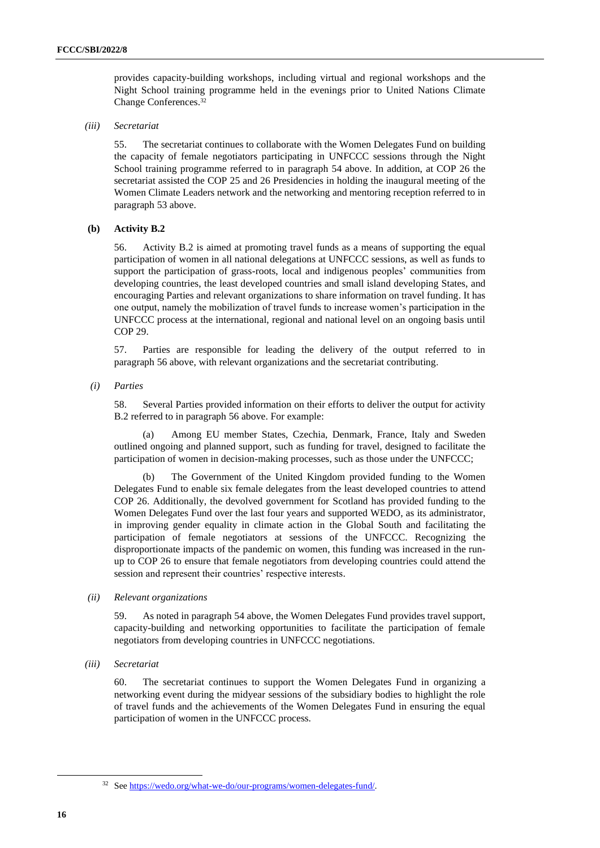provides capacity-building workshops, including virtual and regional workshops and the Night School training programme held in the evenings prior to United Nations Climate Change Conferences. 32

#### *(iii) Secretariat*

55. The secretariat continues to collaborate with the Women Delegates Fund on building the capacity of female negotiators participating in UNFCCC sessions through the Night School training programme referred to in paragraph 54 above. In addition, at COP 26 the secretariat assisted the COP 25 and 26 Presidencies in holding the inaugural meeting of the Women Climate Leaders network and the networking and mentoring reception referred to in paragraph 53 above.

#### **(b) Activity B.2**

56. Activity B.2 is aimed at promoting travel funds as a means of supporting the equal participation of women in all national delegations at UNFCCC sessions, as well as funds to support the participation of grass-roots, local and indigenous peoples' communities from developing countries, the least developed countries and small island developing States, and encouraging Parties and relevant organizations to share information on travel funding. It has one output, namely the mobilization of travel funds to increase women's participation in the UNFCCC process at the international, regional and national level on an ongoing basis until COP 29.

57. Parties are responsible for leading the delivery of the output referred to in paragraph 56 above, with relevant organizations and the secretariat contributing.

*(i) Parties*

58. Several Parties provided information on their efforts to deliver the output for activity B.2 referred to in paragraph 56 above. For example:

(a) Among EU member States, Czechia, Denmark, France, Italy and Sweden outlined ongoing and planned support, such as funding for travel, designed to facilitate the participation of women in decision-making processes, such as those under the UNFCCC;

(b) The Government of the United Kingdom provided funding to the Women Delegates Fund to enable six female delegates from the least developed countries to attend COP 26. Additionally, the devolved government for Scotland has provided funding to the Women Delegates Fund over the last four years and supported WEDO, as its administrator, in improving gender equality in climate action in the Global South and facilitating the participation of female negotiators at sessions of the UNFCCC. Recognizing the disproportionate impacts of the pandemic on women, this funding was increased in the runup to COP 26 to ensure that female negotiators from developing countries could attend the session and represent their countries' respective interests.

#### *(ii) Relevant organizations*

59. As noted in paragraph 54 above, the Women Delegates Fund provides travel support, capacity-building and networking opportunities to facilitate the participation of female negotiators from developing countries in UNFCCC negotiations.

*(iii) Secretariat*

60. The secretariat continues to support the Women Delegates Fund in organizing a networking event during the midyear sessions of the subsidiary bodies to highlight the role of travel funds and the achievements of the Women Delegates Fund in ensuring the equal participation of women in the UNFCCC process.

<sup>&</sup>lt;sup>32</sup> Se[e https://wedo.org/what-we-do/our-programs/women-delegates-fund/.](https://wedo.org/what-we-do/our-programs/women-delegates-fund/)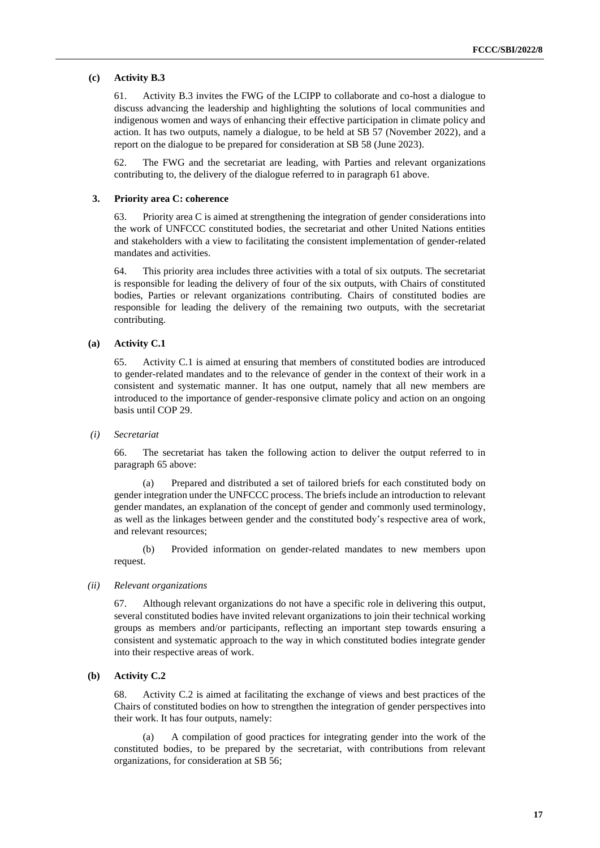## **(c) Activity B.3**

61. Activity B.3 invites the FWG of the LCIPP to collaborate and co-host a dialogue to discuss advancing the leadership and highlighting the solutions of local communities and indigenous women and ways of enhancing their effective participation in climate policy and action. It has two outputs, namely a dialogue, to be held at SB 57 (November 2022), and a report on the dialogue to be prepared for consideration at SB 58 (June 2023).

62. The FWG and the secretariat are leading, with Parties and relevant organizations contributing to, the delivery of the dialogue referred to in paragraph 61 above.

#### **3. Priority area C: coherence**

63. Priority area C is aimed at strengthening the integration of gender considerations into the work of UNFCCC constituted bodies, the secretariat and other United Nations entities and stakeholders with a view to facilitating the consistent implementation of gender-related mandates and activities.

64. This priority area includes three activities with a total of six outputs. The secretariat is responsible for leading the delivery of four of the six outputs, with Chairs of constituted bodies, Parties or relevant organizations contributing. Chairs of constituted bodies are responsible for leading the delivery of the remaining two outputs, with the secretariat contributing.

#### **(a) Activity C.1**

65. Activity C.1 is aimed at ensuring that members of constituted bodies are introduced to gender-related mandates and to the relevance of gender in the context of their work in a consistent and systematic manner. It has one output, namely that all new members are introduced to the importance of gender-responsive climate policy and action on an ongoing basis until COP 29.

#### *(i) Secretariat*

66. The secretariat has taken the following action to deliver the output referred to in paragraph 65 above:

(a) Prepared and distributed a set of tailored briefs for each constituted body on gender integration under the UNFCCC process. The briefs include an introduction to relevant gender mandates, an explanation of the concept of gender and commonly used terminology, as well as the linkages between gender and the constituted body's respective area of work, and relevant resources;

(b) Provided information on gender-related mandates to new members upon request.

#### *(ii) Relevant organizations*

67. Although relevant organizations do not have a specific role in delivering this output, several constituted bodies have invited relevant organizations to join their technical working groups as members and/or participants, reflecting an important step towards ensuring a consistent and systematic approach to the way in which constituted bodies integrate gender into their respective areas of work.

### **(b) Activity C.2**

68. Activity C.2 is aimed at facilitating the exchange of views and best practices of the Chairs of constituted bodies on how to strengthen the integration of gender perspectives into their work. It has four outputs, namely:

(a) A compilation of good practices for integrating gender into the work of the constituted bodies, to be prepared by the secretariat, with contributions from relevant organizations, for consideration at SB 56;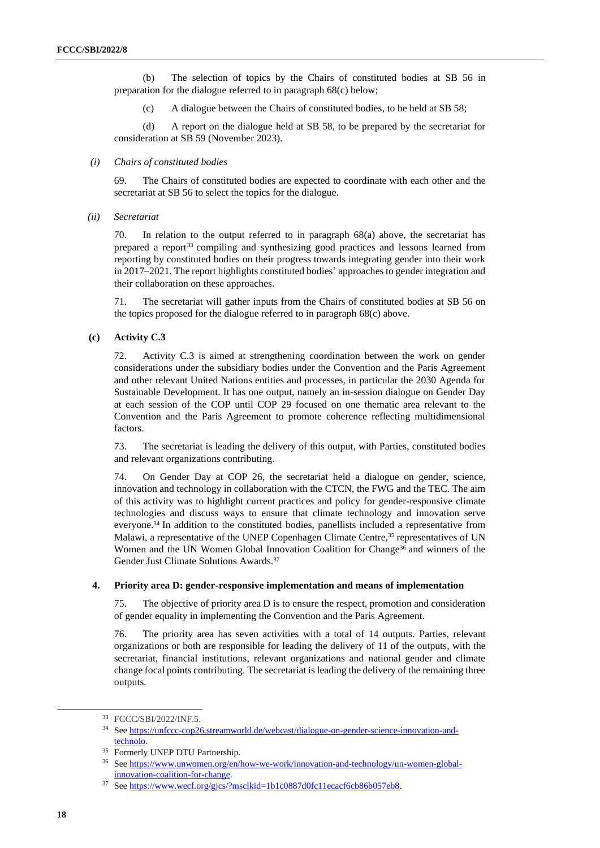(b) The selection of topics by the Chairs of constituted bodies at SB 56 in preparation for the dialogue referred to in paragraph 68(c) below;

(c) A dialogue between the Chairs of constituted bodies, to be held at SB 58;

(d) A report on the dialogue held at SB 58, to be prepared by the secretariat for consideration at SB 59 (November 2023).

#### *(i) Chairs of constituted bodies*

69. The Chairs of constituted bodies are expected to coordinate with each other and the secretariat at SB 56 to select the topics for the dialogue.

*(ii) Secretariat*

70. In relation to the output referred to in paragraph 68(a) above, the secretariat has prepared a report<sup>33</sup> compiling and synthesizing good practices and lessons learned from reporting by constituted bodies on their progress towards integrating gender into their work in 2017–2021. The report highlights constituted bodies' approaches to gender integration and their collaboration on these approaches.

71. The secretariat will gather inputs from the Chairs of constituted bodies at SB 56 on the topics proposed for the dialogue referred to in paragraph 68(c) above.

#### **(c) Activity C.3**

72. Activity C.3 is aimed at strengthening coordination between the work on gender considerations under the subsidiary bodies under the Convention and the Paris Agreement and other relevant United Nations entities and processes, in particular the 2030 Agenda for Sustainable Development. It has one output, namely an in-session dialogue on Gender Day at each session of the COP until COP 29 focused on one thematic area relevant to the Convention and the Paris Agreement to promote coherence reflecting multidimensional factors.

73. The secretariat is leading the delivery of this output, with Parties, constituted bodies and relevant organizations contributing.

74. On Gender Day at COP 26, the secretariat held a dialogue on gender, science, innovation and technology in collaboration with the CTCN, the FWG and the TEC. The aim of this activity was to highlight current practices and policy for gender-responsive climate technologies and discuss ways to ensure that climate technology and innovation serve everyone.<sup>34</sup> In addition to the constituted bodies, panellists included a representative from Malawi, a representative of the UNEP Copenhagen Climate Centre,<sup>35</sup> representatives of UN Women and the UN Women Global Innovation Coalition for Change<sup>36</sup> and winners of the Gender Just Climate Solutions Awards.<sup>37</sup>

#### **4. Priority area D: gender-responsive implementation and means of implementation**

75. The objective of priority area D is to ensure the respect, promotion and consideration of gender equality in implementing the Convention and the Paris Agreement.

76. The priority area has seven activities with a total of 14 outputs. Parties, relevant organizations or both are responsible for leading the delivery of 11 of the outputs, with the secretariat, financial institutions, relevant organizations and national gender and climate change focal points contributing. The secretariat is leading the delivery of the remaining three outputs.

<sup>33</sup> FCCC/SBI/2022/INF.5.

<sup>34</sup> Se[e https://unfccc-cop26.streamworld.de/webcast/dialogue-on-gender-science-innovation-and](https://unfccc-cop26.streamworld.de/webcast/dialogue-on-gender-science-innovation-and-technolo)[technolo.](https://unfccc-cop26.streamworld.de/webcast/dialogue-on-gender-science-innovation-and-technolo) 

<sup>35</sup> Formerly UNEP DTU Partnership.

<sup>36</sup> Se[e https://www.unwomen.org/en/how-we-work/innovation-and-technology/un-women-global](https://www.unwomen.org/en/how-we-work/innovation-and-technology/un-women-global-innovation-coalition-for-change)[innovation-coalition-for-change.](https://www.unwomen.org/en/how-we-work/innovation-and-technology/un-women-global-innovation-coalition-for-change) 

<sup>&</sup>lt;sup>37</sup> See https://www.wecf.org/gjcs/?msclkid=1b1c0887d0fc11ecacf6cb86b057eb8.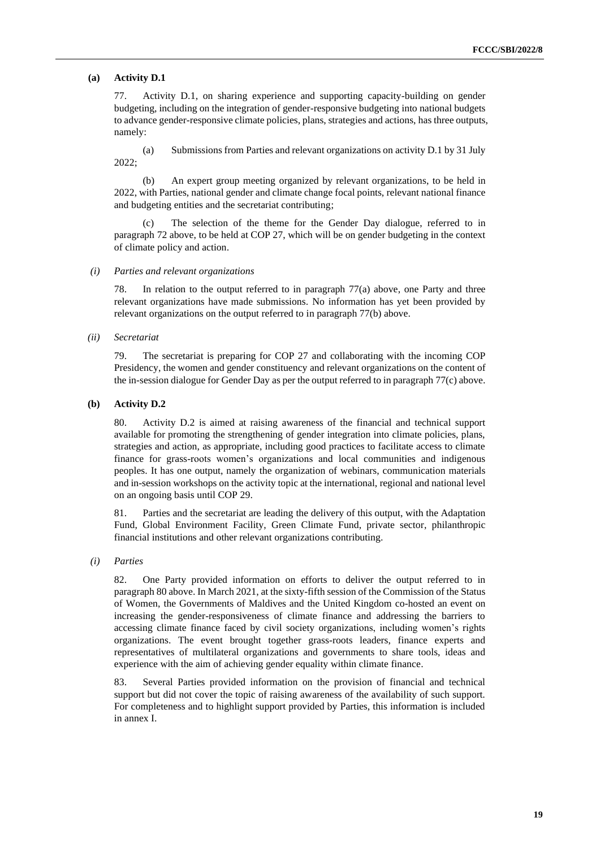#### **(a) Activity D.1**

77. Activity D.1, on sharing experience and supporting capacity-building on gender budgeting, including on the integration of gender-responsive budgeting into national budgets to advance gender-responsive climate policies, plans, strategies and actions, has three outputs, namely:

(a) Submissions from Parties and relevant organizations on activity D.1 by 31 July 2022;

(b) An expert group meeting organized by relevant organizations, to be held in 2022, with Parties, national gender and climate change focal points, relevant national finance and budgeting entities and the secretariat contributing;

The selection of the theme for the Gender Day dialogue, referred to in paragraph 72 above, to be held at COP 27, which will be on gender budgeting in the context of climate policy and action.

*(i) Parties and relevant organizations*

78. In relation to the output referred to in paragraph 77(a) above, one Party and three relevant organizations have made submissions. No information has yet been provided by relevant organizations on the output referred to in paragraph 77(b) above.

#### *(ii) Secretariat*

79. The secretariat is preparing for COP 27 and collaborating with the incoming COP Presidency, the women and gender constituency and relevant organizations on the content of the in-session dialogue for Gender Day as per the output referred to in paragraph 77(c) above.

#### **(b) Activity D.2**

80. Activity D.2 is aimed at raising awareness of the financial and technical support available for promoting the strengthening of gender integration into climate policies, plans, strategies and action, as appropriate, including good practices to facilitate access to climate finance for grass-roots women's organizations and local communities and indigenous peoples. It has one output, namely the organization of webinars, communication materials and in-session workshops on the activity topic at the international, regional and national level on an ongoing basis until COP 29.

81. Parties and the secretariat are leading the delivery of this output, with the Adaptation Fund, Global Environment Facility, Green Climate Fund, private sector, philanthropic financial institutions and other relevant organizations contributing.

#### *(i) Parties*

82. One Party provided information on efforts to deliver the output referred to in paragraph 80 above. In March 2021, at the sixty-fifth session of the Commission of the Status of Women, the Governments of Maldives and the United Kingdom co-hosted an event on increasing the gender-responsiveness of climate finance and addressing the barriers to accessing climate finance faced by civil society organizations, including women's rights organizations. The event brought together grass-roots leaders, finance experts and representatives of multilateral organizations and governments to share tools, ideas and experience with the aim of achieving gender equality within climate finance.

83. Several Parties provided information on the provision of financial and technical support but did not cover the topic of raising awareness of the availability of such support. For completeness and to highlight support provided by Parties, this information is included in annex I.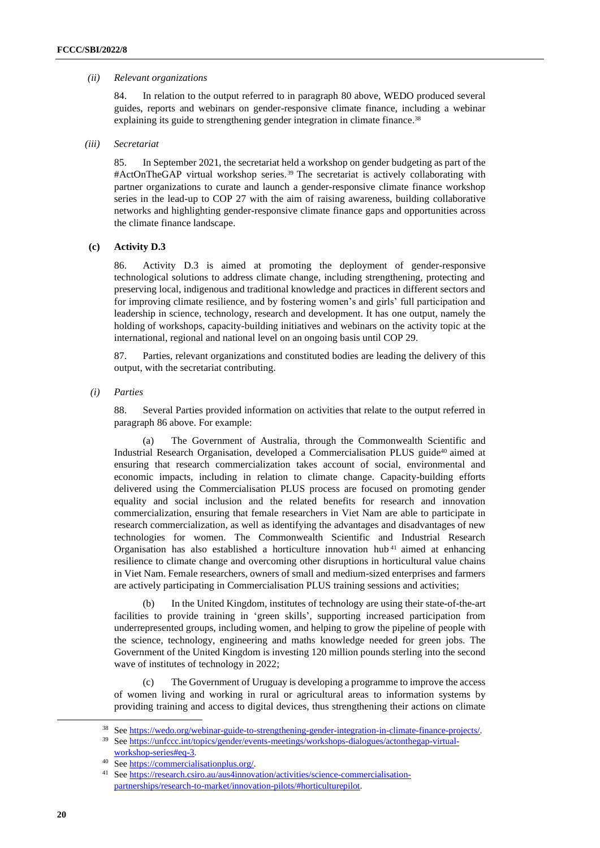#### *(ii) Relevant organizations*

84. In relation to the output referred to in paragraph 80 above, WEDO produced several guides, reports and webinars on gender-responsive climate finance, including a webinar explaining its guide to strengthening gender integration in climate finance.<sup>38</sup>

#### *(iii) Secretariat*

85. In September 2021, the secretariat held a workshop on gender budgeting as part of the #ActOnTheGAP virtual workshop series. <sup>39</sup> The secretariat is actively collaborating with partner organizations to curate and launch a gender-responsive climate finance workshop series in the lead-up to COP 27 with the aim of raising awareness, building collaborative networks and highlighting gender-responsive climate finance gaps and opportunities across the climate finance landscape.

### **(c) Activity D.3**

86. Activity D.3 is aimed at promoting the deployment of gender-responsive technological solutions to address climate change, including strengthening, protecting and preserving local, indigenous and traditional knowledge and practices in different sectors and for improving climate resilience, and by fostering women's and girls' full participation and leadership in science, technology, research and development. It has one output, namely the holding of workshops, capacity-building initiatives and webinars on the activity topic at the international, regional and national level on an ongoing basis until COP 29.

87. Parties, relevant organizations and constituted bodies are leading the delivery of this output, with the secretariat contributing.

*(i) Parties*

88. Several Parties provided information on activities that relate to the output referred in paragraph 86 above. For example:

(a) The Government of Australia, through the Commonwealth Scientific and Industrial Research Organisation, developed a Commercialisation PLUS guide<sup>40</sup> aimed at ensuring that research commercialization takes account of social, environmental and economic impacts, including in relation to climate change. Capacity-building efforts delivered using the Commercialisation PLUS process are focused on promoting gender equality and social inclusion and the related benefits for research and innovation commercialization, ensuring that female researchers in Viet Nam are able to participate in research commercialization, as well as identifying the advantages and disadvantages of new technologies for women. The Commonwealth Scientific and Industrial Research Organisation has also established a horticulture innovation hub <sup>41</sup> aimed at enhancing resilience to climate change and overcoming other disruptions in horticultural value chains in Viet Nam. Female researchers, owners of small and medium-sized enterprises and farmers are actively participating in Commercialisation PLUS training sessions and activities;

(b) In the United Kingdom, institutes of technology are using their state-of-the-art facilities to provide training in 'green skills', supporting increased participation from underrepresented groups, including women, and helping to grow the pipeline of people with the science, technology, engineering and maths knowledge needed for green jobs. The Government of the United Kingdom is investing 120 million pounds sterling into the second wave of institutes of technology in 2022;

(c) The Government of Uruguay is developing a programme to improve the access of women living and working in rural or agricultural areas to information systems by providing training and access to digital devices, thus strengthening their actions on climate

<sup>38</sup> Se[e https://wedo.org/webinar-guide-to-strengthening-gender-integration-in-climate-finance-projects/.](https://wedo.org/webinar-guide-to-strengthening-gender-integration-in-climate-finance-projects/) 

<sup>39</sup> Se[e https://unfccc.int/topics/gender/events-meetings/workshops-dialogues/actonthegap-virtual](https://unfccc.int/topics/gender/events-meetings/workshops-dialogues/actonthegap-virtual-workshop-series#eq-3)[workshop-series#eq-3.](https://unfccc.int/topics/gender/events-meetings/workshops-dialogues/actonthegap-virtual-workshop-series#eq-3)

Se[e https://commercialisationplus.org/.](https://commercialisationplus.org/)

<sup>41</sup> Se[e https://research.csiro.au/aus4innovation/activities/science-commercialisation](https://research.csiro.au/aus4innovation/activities/science-commercialisation-partnerships/research-to-market/innovation-pilots/#horticulturepilot)[partnerships/research-to-market/innovation-pilots/#horticulturepilot.](https://research.csiro.au/aus4innovation/activities/science-commercialisation-partnerships/research-to-market/innovation-pilots/#horticulturepilot)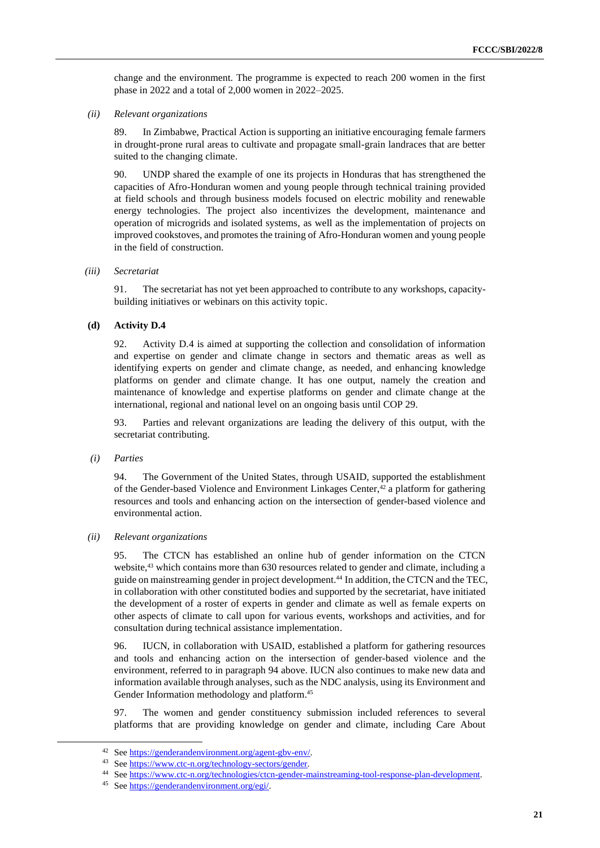change and the environment. The programme is expected to reach 200 women in the first phase in 2022 and a total of 2,000 women in 2022–2025.

*(ii) Relevant organizations*

89. In Zimbabwe, Practical Action is supporting an initiative encouraging female farmers in drought-prone rural areas to cultivate and propagate small-grain landraces that are better suited to the changing climate.

90. UNDP shared the example of one its projects in Honduras that has strengthened the capacities of Afro-Honduran women and young people through technical training provided at field schools and through business models focused on electric mobility and renewable energy technologies. The project also incentivizes the development, maintenance and operation of microgrids and isolated systems, as well as the implementation of projects on improved cookstoves, and promotes the training of Afro-Honduran women and young people in the field of construction.

*(iii) Secretariat*

91. The secretariat has not yet been approached to contribute to any workshops, capacitybuilding initiatives or webinars on this activity topic.

### **(d) Activity D.4**

92. Activity D.4 is aimed at supporting the collection and consolidation of information and expertise on gender and climate change in sectors and thematic areas as well as identifying experts on gender and climate change, as needed, and enhancing knowledge platforms on gender and climate change. It has one output, namely the creation and maintenance of knowledge and expertise platforms on gender and climate change at the international, regional and national level on an ongoing basis until COP 29.

93. Parties and relevant organizations are leading the delivery of this output, with the secretariat contributing.

*(i) Parties*

94. The Government of the United States, through USAID, supported the establishment of the Gender-based Violence and Environment Linkages Center,<sup>42</sup> a platform for gathering resources and tools and enhancing action on the intersection of gender-based violence and environmental action.

#### *(ii) Relevant organizations*

95. The CTCN has established an online hub of gender information on the CTCN website,<sup>43</sup> which contains more than 630 resources related to gender and climate, including a guide on mainstreaming gender in project development. <sup>44</sup> In addition, the CTCN and the TEC, in collaboration with other constituted bodies and supported by the secretariat, have initiated the development of a roster of experts in gender and climate as well as female experts on other aspects of climate to call upon for various events, workshops and activities, and for consultation during technical assistance implementation.

96. IUCN, in collaboration with USAID, established a platform for gathering resources and tools and enhancing action on the intersection of gender-based violence and the environment, referred to in paragraph 94 above. IUCN also continues to make new data and information available through analyses, such as the NDC analysis, using its Environment and Gender Information methodology and platform. 45

97. The women and gender constituency submission included references to several platforms that are providing knowledge on gender and climate, including Care About

<sup>42</sup> Se[e https://genderandenvironment.org/agent-gbv-env/.](https://genderandenvironment.org/agent-gbv-env/)<br>43 See https://www.ate.n.org/tachnology-sectors/gender

Se[e https://www.ctc-n.org/technology-sectors/gender.](https://www.ctc-n.org/technology-sectors/gender)

<sup>44</sup> See https://www.ctc-n.org/technologies/ctcn-gender-mainstreaming-tool-response-plan-development.

<sup>45</sup> Se[e https://genderandenvironment.org/egi/.](https://genderandenvironment.org/egi/)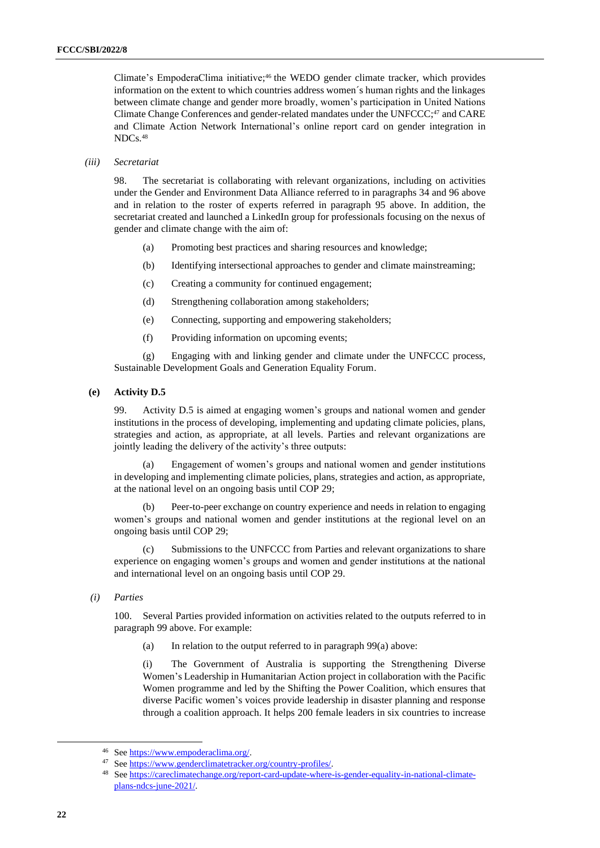Climate's EmpoderaClima initiative; <sup>46</sup> the WEDO gender climate tracker, which provides information on the extent to which countries address women´s human rights and the linkages between climate change and gender more broadly, women's participation in United Nations Climate Change Conferences and gender-related mandates under the UNFCCC;<sup>47</sup> and CARE and Climate Action Network International's online report card on gender integration in NDCs. 48

#### *(iii) Secretariat*

98. The secretariat is collaborating with relevant organizations, including on activities under the Gender and Environment Data Alliance referred to in paragraphs 34 and 96 above and in relation to the roster of experts referred in paragraph 95 above. In addition, the secretariat created and launched a LinkedIn group for professionals focusing on the nexus of gender and climate change with the aim of:

- (a) Promoting best practices and sharing resources and knowledge;
- (b) Identifying intersectional approaches to gender and climate mainstreaming;
- (c) Creating a community for continued engagement;
- (d) Strengthening collaboration among stakeholders;
- (e) Connecting, supporting and empowering stakeholders;
- (f) Providing information on upcoming events;

(g) Engaging with and linking gender and climate under the UNFCCC process, Sustainable Development Goals and Generation Equality Forum.

**(e) Activity D.5**

99. Activity D.5 is aimed at engaging women's groups and national women and gender institutions in the process of developing, implementing and updating climate policies, plans, strategies and action, as appropriate, at all levels. Parties and relevant organizations are jointly leading the delivery of the activity's three outputs:

(a) Engagement of women's groups and national women and gender institutions in developing and implementing climate policies, plans, strategies and action, as appropriate, at the national level on an ongoing basis until COP 29;

(b) Peer-to-peer exchange on country experience and needs in relation to engaging women's groups and national women and gender institutions at the regional level on an ongoing basis until COP 29;

(c) Submissions to the UNFCCC from Parties and relevant organizations to share experience on engaging women's groups and women and gender institutions at the national and international level on an ongoing basis until COP 29.

*(i) Parties*

100. Several Parties provided information on activities related to the outputs referred to in paragraph 99 above. For example:

(a) In relation to the output referred to in paragraph  $99(a)$  above:

(i) The Government of Australia is supporting the Strengthening Diverse Women's Leadership in Humanitarian Action project in collaboration with the Pacific Women programme and led by the Shifting the Power Coalition, which ensures that diverse Pacific women's voices provide leadership in disaster planning and response through a coalition approach. It helps 200 female leaders in six countries to increase

<sup>46</sup> See  $\frac{https://www.empoderaclima.org/}{$ <br>47 See  $\frac{https://www.empoderaclimatetracken}{$ 

Se[e https://www.genderclimatetracker.org/country-profiles/.](https://www.genderclimatetracker.org/country-profiles/)

<sup>48</sup> Se[e https://careclimatechange.org/report-card-update-where-is-gender-equality-in-national-climate](https://careclimatechange.org/report-card-update-where-is-gender-equality-in-national-climate-plans-ndcs-june-2021/)[plans-ndcs-june-2021/.](https://careclimatechange.org/report-card-update-where-is-gender-equality-in-national-climate-plans-ndcs-june-2021/)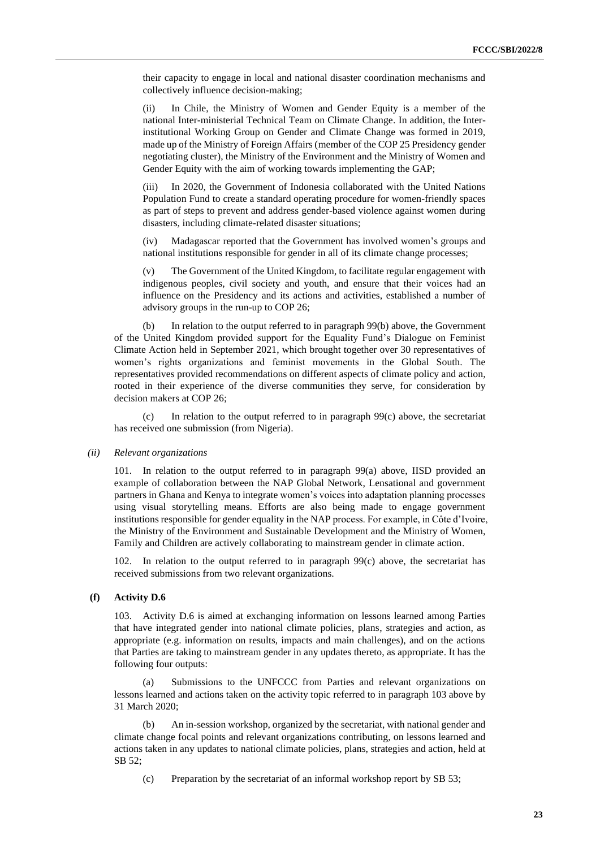their capacity to engage in local and national disaster coordination mechanisms and collectively influence decision-making;

(ii) In Chile, the Ministry of Women and Gender Equity is a member of the national Inter-ministerial Technical Team on Climate Change. In addition, the Interinstitutional Working Group on Gender and Climate Change was formed in 2019, made up of the Ministry of Foreign Affairs (member of the COP 25 Presidency gender negotiating cluster), the Ministry of the Environment and the Ministry of Women and Gender Equity with the aim of working towards implementing the GAP;

(iii) In 2020, the Government of Indonesia collaborated with the United Nations Population Fund to create a standard operating procedure for women-friendly spaces as part of steps to prevent and address gender-based violence against women during disasters, including climate-related disaster situations;

(iv) Madagascar reported that the Government has involved women's groups and national institutions responsible for gender in all of its climate change processes;

(v) The Government of the United Kingdom, to facilitate regular engagement with indigenous peoples, civil society and youth, and ensure that their voices had an influence on the Presidency and its actions and activities, established a number of advisory groups in the run-up to COP 26;

(b) In relation to the output referred to in paragraph 99(b) above, the Government of the United Kingdom provided support for the Equality Fund's Dialogue on Feminist Climate Action held in September 2021, which brought together over 30 representatives of women's rights organizations and feminist movements in the Global South. The representatives provided recommendations on different aspects of climate policy and action, rooted in their experience of the diverse communities they serve, for consideration by decision makers at COP 26;

(c) In relation to the output referred to in paragraph 99(c) above, the secretariat has received one submission (from Nigeria).

#### *(ii) Relevant organizations*

101. In relation to the output referred to in paragraph 99(a) above, IISD provided an example of collaboration between the NAP Global Network, Lensational and government partners in Ghana and Kenya to integrate women's voices into adaptation planning processes using visual storytelling means. Efforts are also being made to engage government institutions responsible for gender equality in the NAP process. For example, in Côte d'Ivoire, the Ministry of the Environment and Sustainable Development and the Ministry of Women, Family and Children are actively collaborating to mainstream gender in climate action.

102. In relation to the output referred to in paragraph 99(c) above, the secretariat has received submissions from two relevant organizations.

#### **(f) Activity D.6**

103. Activity D.6 is aimed at exchanging information on lessons learned among Parties that have integrated gender into national climate policies, plans, strategies and action, as appropriate (e.g. information on results, impacts and main challenges), and on the actions that Parties are taking to mainstream gender in any updates thereto, as appropriate. It has the following four outputs:

(a) Submissions to the UNFCCC from Parties and relevant organizations on lessons learned and actions taken on the activity topic referred to in paragraph 103 above by 31 March 2020;

(b) An in-session workshop, organized by the secretariat, with national gender and climate change focal points and relevant organizations contributing, on lessons learned and actions taken in any updates to national climate policies, plans, strategies and action, held at SB 52;

(c) Preparation by the secretariat of an informal workshop report by SB 53;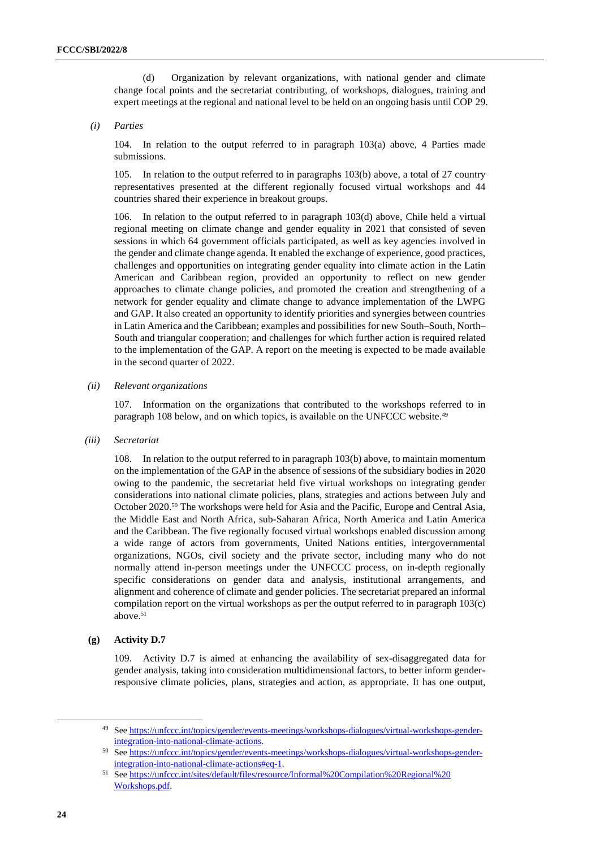(d) Organization by relevant organizations, with national gender and climate change focal points and the secretariat contributing, of workshops, dialogues, training and expert meetings at the regional and national level to be held on an ongoing basis until COP 29.

#### *(i) Parties*

104. In relation to the output referred to in paragraph 103(a) above, 4 Parties made submissions.

105. In relation to the output referred to in paragraphs 103(b) above, a total of 27 country representatives presented at the different regionally focused virtual workshops and 44 countries shared their experience in breakout groups.

106. In relation to the output referred to in paragraph 103(d) above, Chile held a virtual regional meeting on climate change and gender equality in 2021 that consisted of seven sessions in which 64 government officials participated, as well as key agencies involved in the gender and climate change agenda. It enabled the exchange of experience, good practices, challenges and opportunities on integrating gender equality into climate action in the Latin American and Caribbean region, provided an opportunity to reflect on new gender approaches to climate change policies, and promoted the creation and strengthening of a network for gender equality and climate change to advance implementation of the LWPG and GAP. It also created an opportunity to identify priorities and synergies between countries in Latin America and the Caribbean; examples and possibilities for new South–South, North– South and triangular cooperation; and challenges for which further action is required related to the implementation of the GAP. A report on the meeting is expected to be made available in the second quarter of 2022.

*(ii) Relevant organizations*

107. Information on the organizations that contributed to the workshops referred to in paragraph 108 below, and on which topics, is available on the UNFCCC website.<sup>49</sup>

*(iii) Secretariat*

108. In relation to the output referred to in paragraph 103(b) above, to maintain momentum on the implementation of the GAP in the absence of sessions of the subsidiary bodies in 2020 owing to the pandemic, the secretariat held five virtual workshops on integrating gender considerations into national climate policies, plans, strategies and actions between July and October 2020.<sup>50</sup> The workshops were held for Asia and the Pacific, Europe and Central Asia, the Middle East and North Africa, sub-Saharan Africa, North America and Latin America and the Caribbean. The five regionally focused virtual workshops enabled discussion among a wide range of actors from governments, United Nations entities, intergovernmental organizations, NGOs, civil society and the private sector, including many who do not normally attend in-person meetings under the UNFCCC process, on in-depth regionally specific considerations on gender data and analysis, institutional arrangements, and alignment and coherence of climate and gender policies. The secretariat prepared an informal compilation report on the virtual workshops as per the output referred to in paragraph 103(c) above. 51

### **(g) Activity D.7**

109. Activity D.7 is aimed at enhancing the availability of sex-disaggregated data for gender analysis, taking into consideration multidimensional factors, to better inform genderresponsive climate policies, plans, strategies and action, as appropriate. It has one output,

<sup>49</sup> Se[e https://unfccc.int/topics/gender/events-meetings/workshops-dialogues/virtual-workshops-gender](https://unfccc.int/topics/gender/events-meetings/workshops-dialogues/virtual-workshops-gender-integration-into-national-climate-actions)[integration-into-national-climate-actions.](https://unfccc.int/topics/gender/events-meetings/workshops-dialogues/virtual-workshops-gender-integration-into-national-climate-actions) 

<sup>50</sup> Se[e https://unfccc.int/topics/gender/events-meetings/workshops-dialogues/virtual-workshops-gender](https://unfccc.int/topics/gender/events-meetings/workshops-dialogues/virtual-workshops-gender-integration-into-national-climate-actions#eq-1)[integration-into-national-climate-actions#eq-1.](https://unfccc.int/topics/gender/events-meetings/workshops-dialogues/virtual-workshops-gender-integration-into-national-climate-actions#eq-1)

<sup>51</sup> See [https://unfccc.int/sites/default/files/resource/Informal%20Compilation%20Regional%20](https://unfccc.int/sites/default/files/resource/Informal%20Compilation%20Regional%20Workshops.pdf) [Workshops.pdf.](https://unfccc.int/sites/default/files/resource/Informal%20Compilation%20Regional%20Workshops.pdf)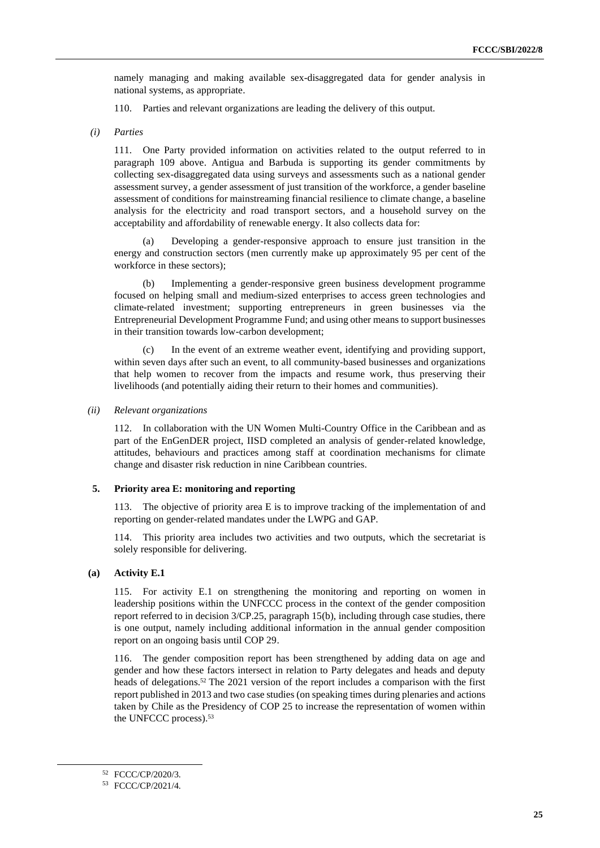namely managing and making available sex-disaggregated data for gender analysis in national systems, as appropriate.

110. Parties and relevant organizations are leading the delivery of this output.

*(i) Parties*

111. One Party provided information on activities related to the output referred to in paragraph 109 above. Antigua and Barbuda is supporting its gender commitments by collecting sex-disaggregated data using surveys and assessments such as a national gender assessment survey, a gender assessment of just transition of the workforce, a gender baseline assessment of conditions for mainstreaming financial resilience to climate change, a baseline analysis for the electricity and road transport sectors, and a household survey on the acceptability and affordability of renewable energy. It also collects data for:

(a) Developing a gender-responsive approach to ensure just transition in the energy and construction sectors (men currently make up approximately 95 per cent of the workforce in these sectors);

(b) Implementing a gender-responsive green business development programme focused on helping small and medium-sized enterprises to access green technologies and climate-related investment; supporting entrepreneurs in green businesses via the Entrepreneurial Development Programme Fund; and using other means to support businesses in their transition towards low-carbon development;

(c) In the event of an extreme weather event, identifying and providing support, within seven days after such an event, to all community-based businesses and organizations that help women to recover from the impacts and resume work, thus preserving their livelihoods (and potentially aiding their return to their homes and communities).

*(ii) Relevant organizations*

112. In collaboration with the UN Women Multi-Country Office in the Caribbean and as part of the EnGenDER project, IISD completed an analysis of gender-related knowledge, attitudes, behaviours and practices among staff at coordination mechanisms for climate change and disaster risk reduction in nine Caribbean countries.

#### **5. Priority area E: monitoring and reporting**

113. The objective of priority area E is to improve tracking of the implementation of and reporting on gender-related mandates under the LWPG and GAP.

114. This priority area includes two activities and two outputs, which the secretariat is solely responsible for delivering.

#### **(a) Activity E.1**

115. For activity E.1 on strengthening the monitoring and reporting on women in leadership positions within the UNFCCC process in the context of the gender composition report referred to in decision 3/CP.25, paragraph 15(b), including through case studies, there is one output, namely including additional information in the annual gender composition report on an ongoing basis until COP 29.

116. The gender composition report has been strengthened by adding data on age and gender and how these factors intersect in relation to Party delegates and heads and deputy heads of delegations.<sup>52</sup> The 2021 version of the report includes a comparison with the first report published in 2013 and two case studies (on speaking times during plenaries and actions taken by Chile as the Presidency of COP 25 to increase the representation of women within the UNFCCC process). 53

<sup>52</sup> FCCC/CP/2020/3.

<sup>53</sup> FCCC/CP/2021/4.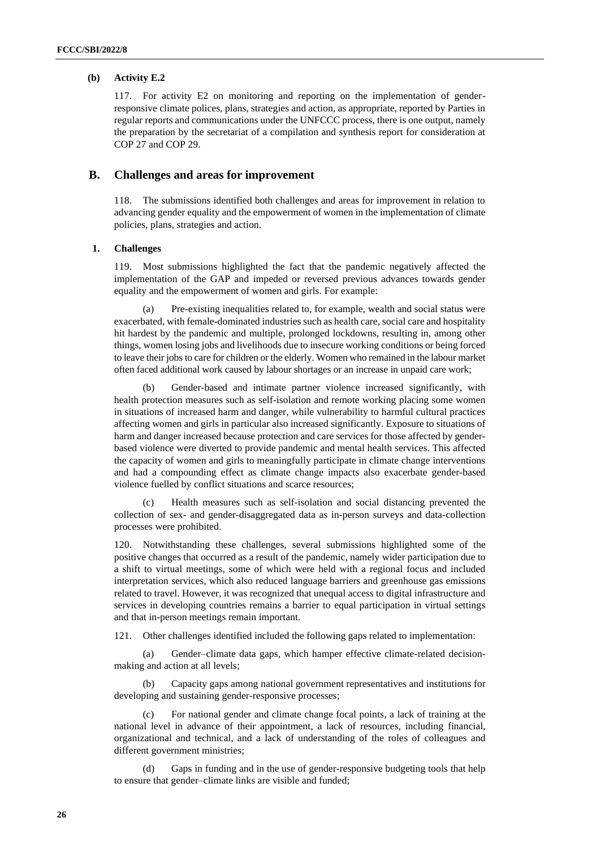### **(b) Activity E.2**

117. For activity E2 on monitoring and reporting on the implementation of genderresponsive climate polices, plans, strategies and action, as appropriate, reported by Parties in regular reports and communications under the UNFCCC process, there is one output, namely the preparation by the secretariat of a compilation and synthesis report for consideration at COP 27 and COP 29.

### **B. Challenges and areas for improvement**

118. The submissions identified both challenges and areas for improvement in relation to advancing gender equality and the empowerment of women in the implementation of climate policies, plans, strategies and action.

### **1. Challenges**

119. Most submissions highlighted the fact that the pandemic negatively affected the implementation of the GAP and impeded or reversed previous advances towards gender equality and the empowerment of women and girls. For example:

(a) Pre-existing inequalities related to, for example, wealth and social status were exacerbated, with female-dominated industries such as health care, social care and hospitality hit hardest by the pandemic and multiple, prolonged lockdowns, resulting in, among other things, women losing jobs and livelihoods due to insecure working conditions or being forced to leave their jobs to care for children or the elderly. Women who remained in the labour market often faced additional work caused by labour shortages or an increase in unpaid care work;

(b) Gender-based and intimate partner violence increased significantly, with health protection measures such as self-isolation and remote working placing some women in situations of increased harm and danger, while vulnerability to harmful cultural practices affecting women and girls in particular also increased significantly. Exposure to situations of harm and danger increased because protection and care services for those affected by genderbased violence were diverted to provide pandemic and mental health services. This affected the capacity of women and girls to meaningfully participate in climate change interventions and had a compounding effect as climate change impacts also exacerbate gender-based violence fuelled by conflict situations and scarce resources;

(c) Health measures such as self-isolation and social distancing prevented the collection of sex- and gender-disaggregated data as in-person surveys and data-collection processes were prohibited.

120. Notwithstanding these challenges, several submissions highlighted some of the positive changes that occurred as a result of the pandemic, namely wider participation due to a shift to virtual meetings, some of which were held with a regional focus and included interpretation services, which also reduced language barriers and greenhouse gas emissions related to travel. However, it was recognized that unequal access to digital infrastructure and services in developing countries remains a barrier to equal participation in virtual settings and that in-person meetings remain important.

121. Other challenges identified included the following gaps related to implementation:

(a) Gender–climate data gaps, which hamper effective climate-related decisionmaking and action at all levels;

Capacity gaps among national government representatives and institutions for developing and sustaining gender-responsive processes;

(c) For national gender and climate change focal points, a lack of training at the national level in advance of their appointment, a lack of resources, including financial, organizational and technical, and a lack of understanding of the roles of colleagues and different government ministries;

Gaps in funding and in the use of gender-responsive budgeting tools that help to ensure that gender–climate links are visible and funded;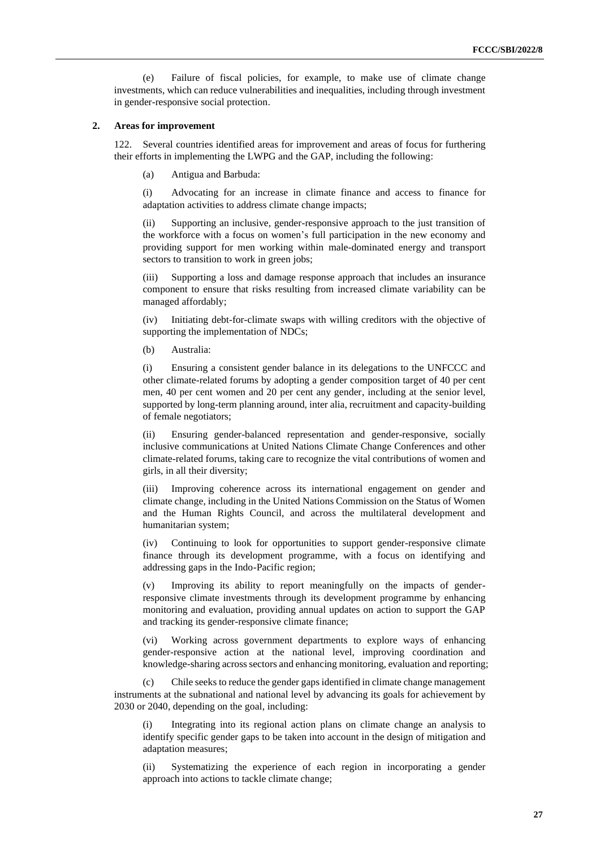(e) Failure of fiscal policies, for example, to make use of climate change investments, which can reduce vulnerabilities and inequalities, including through investment in gender-responsive social protection.

#### **2. Areas for improvement**

122. Several countries identified areas for improvement and areas of focus for furthering their efforts in implementing the LWPG and the GAP, including the following:

(a) Antigua and Barbuda:

(i) Advocating for an increase in climate finance and access to finance for adaptation activities to address climate change impacts;

(ii) Supporting an inclusive, gender-responsive approach to the just transition of the workforce with a focus on women's full participation in the new economy and providing support for men working within male-dominated energy and transport sectors to transition to work in green jobs;

(iii) Supporting a loss and damage response approach that includes an insurance component to ensure that risks resulting from increased climate variability can be managed affordably;

(iv) Initiating debt-for-climate swaps with willing creditors with the objective of supporting the implementation of NDCs;

(b) Australia:

(i) Ensuring a consistent gender balance in its delegations to the UNFCCC and other climate-related forums by adopting a gender composition target of 40 per cent men, 40 per cent women and 20 per cent any gender, including at the senior level, supported by long-term planning around, inter alia, recruitment and capacity-building of female negotiators;

(ii) Ensuring gender-balanced representation and gender-responsive, socially inclusive communications at United Nations Climate Change Conferences and other climate-related forums, taking care to recognize the vital contributions of women and girls, in all their diversity;

(iii) Improving coherence across its international engagement on gender and climate change, including in the United Nations Commission on the Status of Women and the Human Rights Council, and across the multilateral development and humanitarian system;

(iv) Continuing to look for opportunities to support gender-responsive climate finance through its development programme, with a focus on identifying and addressing gaps in the Indo-Pacific region;

(v) Improving its ability to report meaningfully on the impacts of genderresponsive climate investments through its development programme by enhancing monitoring and evaluation, providing annual updates on action to support the GAP and tracking its gender-responsive climate finance;

(vi) Working across government departments to explore ways of enhancing gender-responsive action at the national level, improving coordination and knowledge-sharing across sectors and enhancing monitoring, evaluation and reporting;

(c) Chile seeks to reduce the gender gaps identified in climate change management instruments at the subnational and national level by advancing its goals for achievement by 2030 or 2040, depending on the goal, including:

(i) Integrating into its regional action plans on climate change an analysis to identify specific gender gaps to be taken into account in the design of mitigation and adaptation measures;

(ii) Systematizing the experience of each region in incorporating a gender approach into actions to tackle climate change;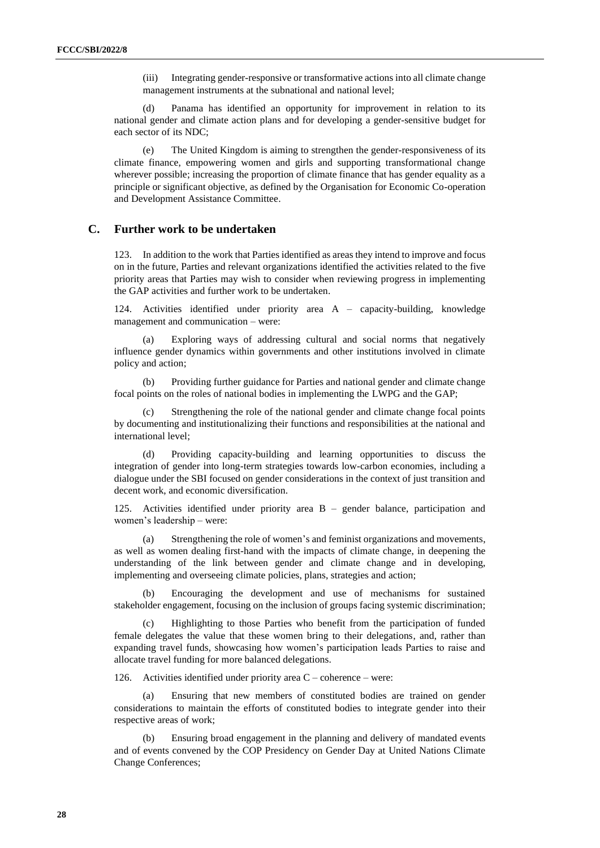(iii) Integrating gender-responsive or transformative actions into all climate change management instruments at the subnational and national level;

(d) Panama has identified an opportunity for improvement in relation to its national gender and climate action plans and for developing a gender-sensitive budget for each sector of its NDC;

(e) The United Kingdom is aiming to strengthen the gender-responsiveness of its climate finance, empowering women and girls and supporting transformational change wherever possible; increasing the proportion of climate finance that has gender equality as a principle or significant objective, as defined by the Organisation for Economic Co-operation and Development Assistance Committee.

## **C. Further work to be undertaken**

123. In addition to the work that Parties identified as areas they intend to improve and focus on in the future, Parties and relevant organizations identified the activities related to the five priority areas that Parties may wish to consider when reviewing progress in implementing the GAP activities and further work to be undertaken.

124. Activities identified under priority area A – capacity-building, knowledge management and communication – were:

(a) Exploring ways of addressing cultural and social norms that negatively influence gender dynamics within governments and other institutions involved in climate policy and action;

(b) Providing further guidance for Parties and national gender and climate change focal points on the roles of national bodies in implementing the LWPG and the GAP;

Strengthening the role of the national gender and climate change focal points by documenting and institutionalizing their functions and responsibilities at the national and international level;

(d) Providing capacity-building and learning opportunities to discuss the integration of gender into long-term strategies towards low-carbon economies, including a dialogue under the SBI focused on gender considerations in the context of just transition and decent work, and economic diversification.

125. Activities identified under priority area B – gender balance, participation and women's leadership – were:

(a) Strengthening the role of women's and feminist organizations and movements, as well as women dealing first-hand with the impacts of climate change, in deepening the understanding of the link between gender and climate change and in developing, implementing and overseeing climate policies, plans, strategies and action;

(b) Encouraging the development and use of mechanisms for sustained stakeholder engagement, focusing on the inclusion of groups facing systemic discrimination;

(c) Highlighting to those Parties who benefit from the participation of funded female delegates the value that these women bring to their delegations, and, rather than expanding travel funds, showcasing how women's participation leads Parties to raise and allocate travel funding for more balanced delegations.

126. Activities identified under priority area C – coherence – were:

(a) Ensuring that new members of constituted bodies are trained on gender considerations to maintain the efforts of constituted bodies to integrate gender into their respective areas of work;

(b) Ensuring broad engagement in the planning and delivery of mandated events and of events convened by the COP Presidency on Gender Day at United Nations Climate Change Conferences;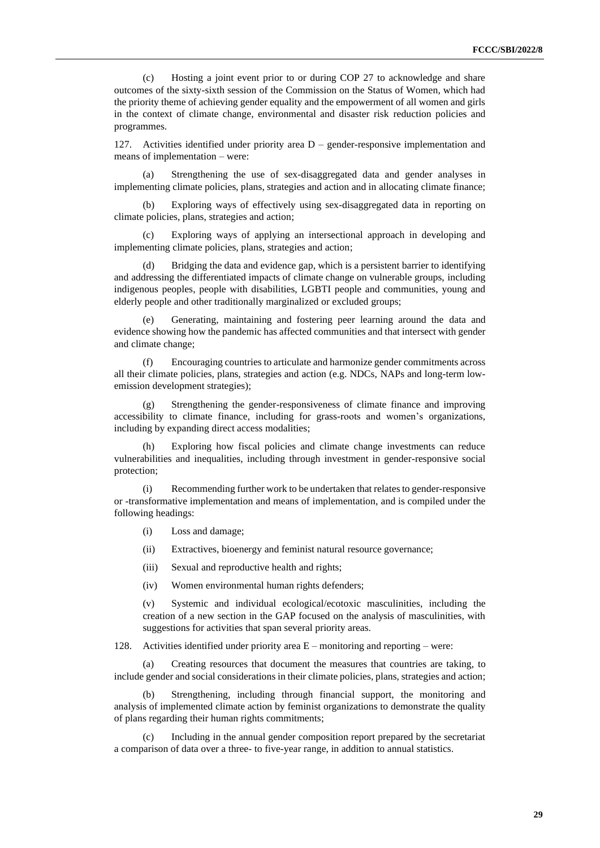(c) Hosting a joint event prior to or during COP 27 to acknowledge and share outcomes of the sixty-sixth session of the Commission on the Status of Women, which had the priority theme of achieving gender equality and the empowerment of all women and girls in the context of climate change, environmental and disaster risk reduction policies and programmes.

127. Activities identified under priority area D – gender-responsive implementation and means of implementation – were:

Strengthening the use of sex-disaggregated data and gender analyses in implementing climate policies, plans, strategies and action and in allocating climate finance;

(b) Exploring ways of effectively using sex-disaggregated data in reporting on climate policies, plans, strategies and action;

(c) Exploring ways of applying an intersectional approach in developing and implementing climate policies, plans, strategies and action;

Bridging the data and evidence gap, which is a persistent barrier to identifying and addressing the differentiated impacts of climate change on vulnerable groups, including indigenous peoples, people with disabilities, LGBTI people and communities, young and elderly people and other traditionally marginalized or excluded groups;

(e) Generating, maintaining and fostering peer learning around the data and evidence showing how the pandemic has affected communities and that intersect with gender and climate change;

(f) Encouraging countries to articulate and harmonize gender commitments across all their climate policies, plans, strategies and action (e.g. NDCs, NAPs and long-term lowemission development strategies);

(g) Strengthening the gender-responsiveness of climate finance and improving accessibility to climate finance, including for grass-roots and women's organizations, including by expanding direct access modalities;

(h) Exploring how fiscal policies and climate change investments can reduce vulnerabilities and inequalities, including through investment in gender-responsive social protection;

(i) Recommending further work to be undertaken that relates to gender-responsive or -transformative implementation and means of implementation, and is compiled under the following headings:

(i) Loss and damage;

(ii) Extractives, bioenergy and feminist natural resource governance;

(iii) Sexual and reproductive health and rights;

(iv) Women environmental human rights defenders;

(v) Systemic and individual ecological/ecotoxic masculinities, including the creation of a new section in the GAP focused on the analysis of masculinities, with suggestions for activities that span several priority areas.

128. Activities identified under priority area E – monitoring and reporting – were:

(a) Creating resources that document the measures that countries are taking, to include gender and social considerations in their climate policies, plans, strategies and action;

Strengthening, including through financial support, the monitoring and analysis of implemented climate action by feminist organizations to demonstrate the quality of plans regarding their human rights commitments;

Including in the annual gender composition report prepared by the secretariat a comparison of data over a three- to five-year range, in addition to annual statistics.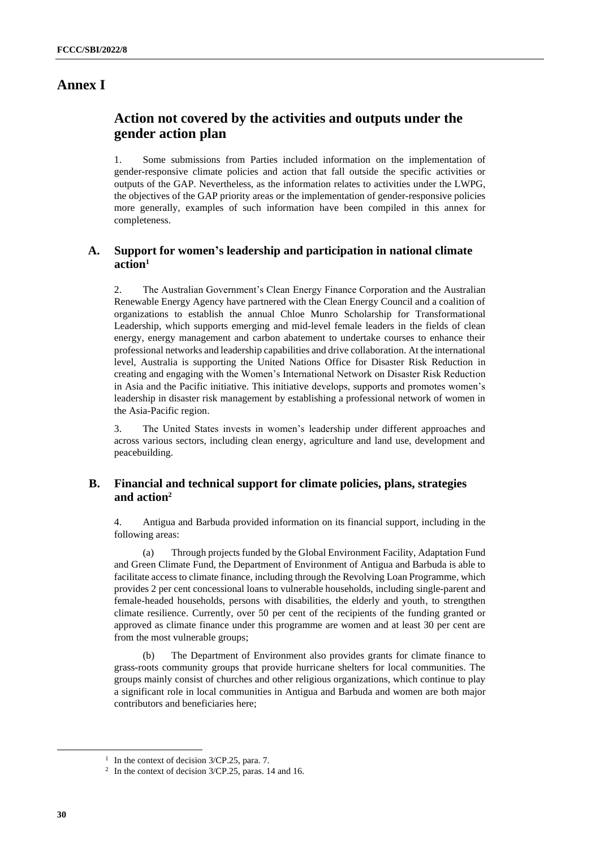## **Annex I**

## **Action not covered by the activities and outputs under the gender action plan**

1. Some submissions from Parties included information on the implementation of gender-responsive climate policies and action that fall outside the specific activities or outputs of the GAP. Nevertheless, as the information relates to activities under the LWPG, the objectives of the GAP priority areas or the implementation of gender-responsive policies more generally, examples of such information have been compiled in this annex for completeness.

## **A. Support for women's leadership and participation in national climate action<sup>1</sup>**

2. The Australian Government's Clean Energy Finance Corporation and the Australian Renewable Energy Agency have partnered with the Clean Energy Council and a coalition of organizations to establish the annual Chloe Munro Scholarship for Transformational Leadership, which supports emerging and mid-level female leaders in the fields of clean energy, energy management and carbon abatement to undertake courses to enhance their professional networks and leadership capabilities and drive collaboration. At the international level, Australia is supporting the United Nations Office for Disaster Risk Reduction in creating and engaging with the Women's International Network on Disaster Risk Reduction in Asia and the Pacific initiative. This initiative develops, supports and promotes women's leadership in disaster risk management by establishing a professional network of women in the Asia-Pacific region.

3. The United States invests in women's leadership under different approaches and across various sectors, including clean energy, agriculture and land use, development and peacebuilding.

## **B. Financial and technical support for climate policies, plans, strategies and action<sup>2</sup>**

4. Antigua and Barbuda provided information on its financial support, including in the following areas:

(a) Through projects funded by the Global Environment Facility, Adaptation Fund and Green Climate Fund, the Department of Environment of Antigua and Barbuda is able to facilitate access to climate finance, including through the Revolving Loan Programme, which provides 2 per cent concessional loans to vulnerable households, including single-parent and female-headed households, persons with disabilities, the elderly and youth, to strengthen climate resilience. Currently, over 50 per cent of the recipients of the funding granted or approved as climate finance under this programme are women and at least 30 per cent are from the most vulnerable groups;

(b) The Department of Environment also provides grants for climate finance to grass-roots community groups that provide hurricane shelters for local communities. The groups mainly consist of churches and other religious organizations, which continue to play a significant role in local communities in Antigua and Barbuda and women are both major contributors and beneficiaries here;

<sup>&</sup>lt;sup>1</sup> In the context of decision 3/CP.25, para. 7.

<sup>2</sup> In the context of decision 3/CP.25, paras. 14 and 16.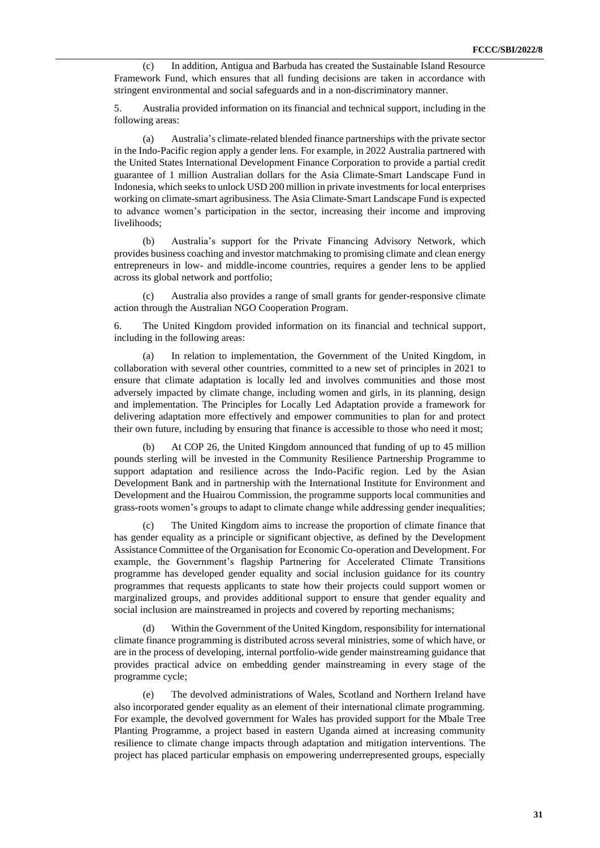(c) In addition, Antigua and Barbuda has created the Sustainable Island Resource Framework Fund, which ensures that all funding decisions are taken in accordance with stringent environmental and social safeguards and in a non-discriminatory manner.

5. Australia provided information on its financial and technical support, including in the following areas:

(a) Australia's climate-related blended finance partnerships with the private sector in the Indo-Pacific region apply a gender lens. For example, in 2022 Australia partnered with the United States International Development Finance Corporation to provide a partial credit guarantee of 1 million Australian dollars for the Asia Climate-Smart Landscape Fund in Indonesia, which seeks to unlock USD 200 million in private investmentsfor local enterprises working on climate-smart agribusiness. The Asia Climate-Smart Landscape Fund is expected to advance women's participation in the sector, increasing their income and improving livelihoods;

(b) Australia's support for the Private Financing Advisory Network, which provides business coaching and investor matchmaking to promising climate and clean energy entrepreneurs in low- and middle-income countries, requires a gender lens to be applied across its global network and portfolio;

(c) Australia also provides a range of small grants for gender-responsive climate action through the Australian NGO Cooperation Program.

6. The United Kingdom provided information on its financial and technical support, including in the following areas:

(a) In relation to implementation, the Government of the United Kingdom, in collaboration with several other countries, committed to a new set of principles in 2021 to ensure that climate adaptation is locally led and involves communities and those most adversely impacted by climate change, including women and girls, in its planning, design and implementation. The Principles for Locally Led Adaptation provide a framework for delivering adaptation more effectively and empower communities to plan for and protect their own future, including by ensuring that finance is accessible to those who need it most;

(b) At COP 26, the United Kingdom announced that funding of up to 45 million pounds sterling will be invested in the Community Resilience Partnership Programme to support adaptation and resilience across the Indo-Pacific region. Led by the Asian Development Bank and in partnership with the International Institute for Environment and Development and the Huairou Commission, the programme supports local communities and grass-roots women's groups to adapt to climate change while addressing gender inequalities;

(c) The United Kingdom aims to increase the proportion of climate finance that has gender equality as a principle or significant objective, as defined by the Development Assistance Committee of the Organisation for Economic Co-operation and Development. For example, the Government's flagship Partnering for Accelerated Climate Transitions programme has developed gender equality and social inclusion guidance for its country programmes that requests applicants to state how their projects could support women or marginalized groups, and provides additional support to ensure that gender equality and social inclusion are mainstreamed in projects and covered by reporting mechanisms;

(d) Within the Government of the United Kingdom, responsibility for international climate finance programming is distributed across several ministries, some of which have, or are in the process of developing, internal portfolio-wide gender mainstreaming guidance that provides practical advice on embedding gender mainstreaming in every stage of the programme cycle;

(e) The devolved administrations of Wales, Scotland and Northern Ireland have also incorporated gender equality as an element of their international climate programming. For example, the devolved government for Wales has provided support for the Mbale Tree Planting Programme, a project based in eastern Uganda aimed at increasing community resilience to climate change impacts through adaptation and mitigation interventions. The project has placed particular emphasis on empowering underrepresented groups, especially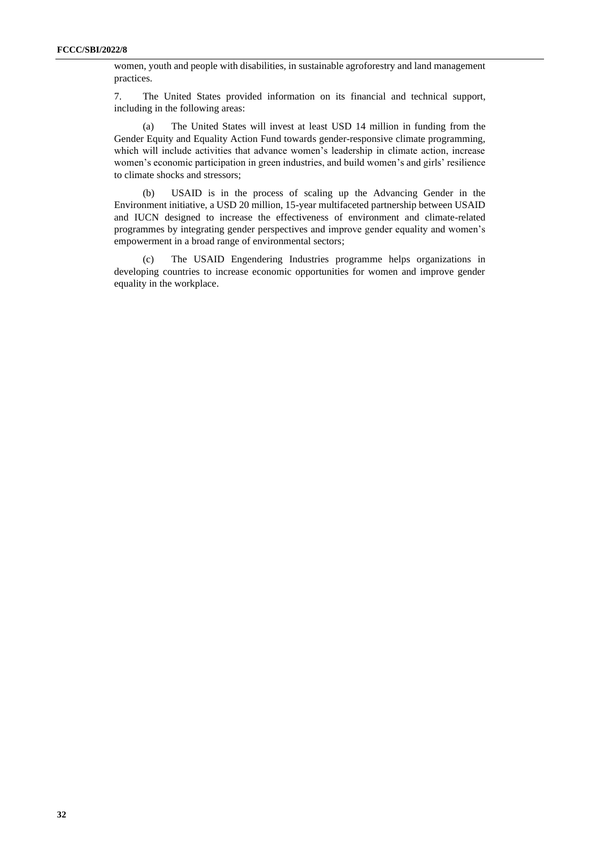women, youth and people with disabilities, in sustainable agroforestry and land management practices.

7. The United States provided information on its financial and technical support, including in the following areas:

(a) The United States will invest at least USD 14 million in funding from the Gender Equity and Equality Action Fund towards gender-responsive climate programming, which will include activities that advance women's leadership in climate action, increase women's economic participation in green industries, and build women's and girls' resilience to climate shocks and stressors;

(b) USAID is in the process of scaling up the Advancing Gender in the Environment initiative, a USD 20 million, 15-year multifaceted partnership between USAID and IUCN designed to increase the effectiveness of environment and climate-related programmes by integrating gender perspectives and improve gender equality and women's empowerment in a broad range of environmental sectors;

(c) The USAID Engendering Industries programme helps organizations in developing countries to increase economic opportunities for women and improve gender equality in the workplace.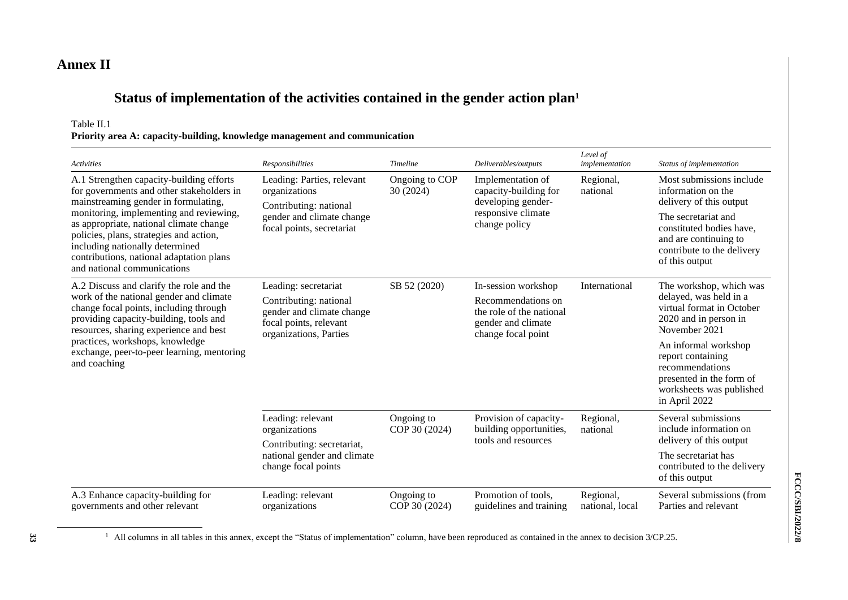## **Annex II**

# **Status of implementation of the activities contained in the gender action plan<sup>1</sup>**

Table II.1

| Priority area A: capacity-building, knowledge management and communication |  |  |
|----------------------------------------------------------------------------|--|--|
|----------------------------------------------------------------------------|--|--|

| <b>Activities</b>                                                                                                                                                                                                                                                                                                                                                            | Responsibilities                                                                                                                | <b>Timeline</b>             | Deliverables/outputs                                                                                              | Level of<br>implementation   | Status of implementation                                                                                                                                                                              |
|------------------------------------------------------------------------------------------------------------------------------------------------------------------------------------------------------------------------------------------------------------------------------------------------------------------------------------------------------------------------------|---------------------------------------------------------------------------------------------------------------------------------|-----------------------------|-------------------------------------------------------------------------------------------------------------------|------------------------------|-------------------------------------------------------------------------------------------------------------------------------------------------------------------------------------------------------|
| A.1 Strengthen capacity-building efforts<br>for governments and other stakeholders in<br>mainstreaming gender in formulating,<br>monitoring, implementing and reviewing,<br>as appropriate, national climate change<br>policies, plans, strategies and action,<br>including nationally determined<br>contributions, national adaptation plans<br>and national communications | Leading: Parties, relevant<br>organizations<br>Contributing: national<br>gender and climate change<br>focal points, secretariat | Ongoing to COP<br>30 (2024) | Implementation of<br>capacity-building for<br>developing gender-<br>responsive climate<br>change policy           | Regional,<br>national        | Most submissions include<br>information on the<br>delivery of this output<br>The secretariat and<br>constituted bodies have,<br>and are continuing to<br>contribute to the delivery<br>of this output |
| A.2 Discuss and clarify the role and the<br>work of the national gender and climate<br>change focal points, including through<br>providing capacity-building, tools and<br>resources, sharing experience and best                                                                                                                                                            | Leading: secretariat<br>Contributing: national<br>gender and climate change<br>focal points, relevant<br>organizations, Parties | SB 52 (2020)                | In-session workshop<br>Recommendations on<br>the role of the national<br>gender and climate<br>change focal point | International                | The workshop, which was<br>delayed, was held in a<br>virtual format in October<br>2020 and in person in<br>November 2021                                                                              |
| practices, workshops, knowledge<br>exchange, peer-to-peer learning, mentoring<br>and coaching                                                                                                                                                                                                                                                                                |                                                                                                                                 |                             |                                                                                                                   |                              | An informal workshop<br>report containing<br>recommendations<br>presented in the form of<br>worksheets was published<br>in April 2022                                                                 |
|                                                                                                                                                                                                                                                                                                                                                                              | Leading: relevant<br>organizations                                                                                              | Ongoing to<br>COP 30 (2024) | Provision of capacity-<br>building opportunities,<br>tools and resources                                          | Regional,<br>national        | Several submissions<br>include information on<br>delivery of this output                                                                                                                              |
|                                                                                                                                                                                                                                                                                                                                                                              | Contributing: secretariat,<br>national gender and climate<br>change focal points                                                |                             |                                                                                                                   |                              | The secretariat has<br>contributed to the delivery<br>of this output                                                                                                                                  |
| A.3 Enhance capacity-building for<br>governments and other relevant                                                                                                                                                                                                                                                                                                          | Leading: relevant<br>organizations                                                                                              | Ongoing to<br>COP 30 (2024) | Promotion of tools,<br>guidelines and training                                                                    | Regional,<br>national, local | Several submissions (from<br>Parties and relevant                                                                                                                                                     |

<sup>1</sup> All columns in all tables in this annex, except the "Status of implementation" column, have been reproduced as contained in the annex to decision 3/CP.25.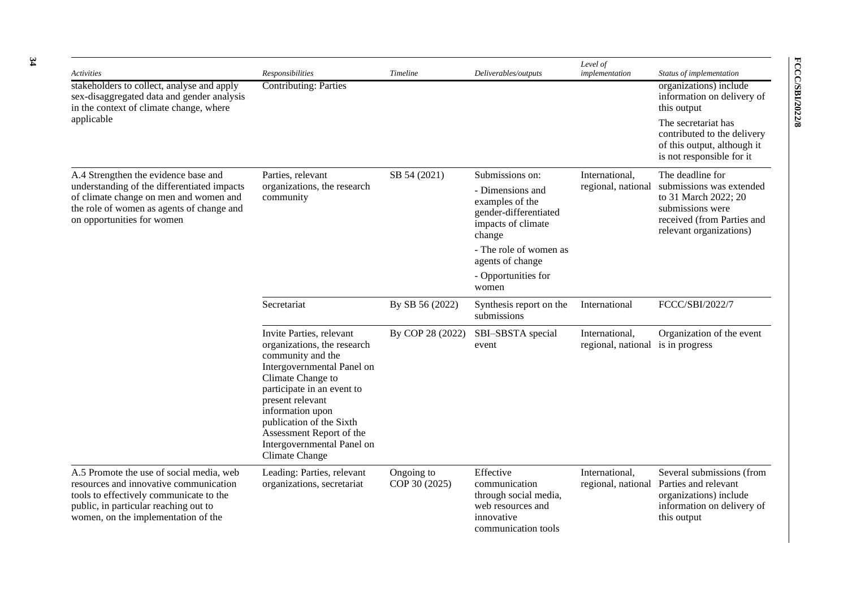| <b>Activities</b>                                                                                                                                                                                             | Responsibilities                                                                                                                                                                                                                                                                                              | Timeline                    | Deliverables/outputs                                                                                          | Level of<br>implementation                          | Status of implementation                                                                                                      |
|---------------------------------------------------------------------------------------------------------------------------------------------------------------------------------------------------------------|---------------------------------------------------------------------------------------------------------------------------------------------------------------------------------------------------------------------------------------------------------------------------------------------------------------|-----------------------------|---------------------------------------------------------------------------------------------------------------|-----------------------------------------------------|-------------------------------------------------------------------------------------------------------------------------------|
| stakeholders to collect, analyse and apply<br>sex-disaggregated data and gender analysis<br>in the context of climate change, where                                                                           | <b>Contributing: Parties</b>                                                                                                                                                                                                                                                                                  |                             |                                                                                                               |                                                     | organizations) include<br>information on delivery of<br>this output                                                           |
| applicable                                                                                                                                                                                                    |                                                                                                                                                                                                                                                                                                               |                             |                                                                                                               |                                                     | The secretariat has<br>contributed to the delivery<br>of this output, although it<br>is not responsible for it                |
| A.4 Strengthen the evidence base and                                                                                                                                                                          | Parties, relevant                                                                                                                                                                                                                                                                                             | SB 54 (2021)                | Submissions on:                                                                                               | International,                                      | The deadline for                                                                                                              |
| understanding of the differentiated impacts<br>of climate change on men and women and<br>the role of women as agents of change and<br>on opportunities for women                                              | organizations, the research<br>community                                                                                                                                                                                                                                                                      |                             | - Dimensions and<br>examples of the<br>gender-differentiated<br>impacts of climate<br>change                  | regional, national                                  | submissions was extended<br>to 31 March 2022; 20<br>submissions were<br>received (from Parties and<br>relevant organizations) |
|                                                                                                                                                                                                               |                                                                                                                                                                                                                                                                                                               |                             | - The role of women as<br>agents of change                                                                    |                                                     |                                                                                                                               |
|                                                                                                                                                                                                               |                                                                                                                                                                                                                                                                                                               |                             | - Opportunities for<br>women                                                                                  |                                                     |                                                                                                                               |
|                                                                                                                                                                                                               | Secretariat                                                                                                                                                                                                                                                                                                   | By SB 56 (2022)             | Synthesis report on the<br>submissions                                                                        | International                                       | FCCC/SBI/2022/7                                                                                                               |
|                                                                                                                                                                                                               | Invite Parties, relevant<br>organizations, the research<br>community and the<br>Intergovernmental Panel on<br>Climate Change to<br>participate in an event to<br>present relevant<br>information upon<br>publication of the Sixth<br>Assessment Report of the<br>Intergovernmental Panel on<br>Climate Change | By COP 28 (2022)            | SBI-SBSTA special<br>event                                                                                    | International,<br>regional, national is in progress | Organization of the event                                                                                                     |
| A.5 Promote the use of social media, web<br>resources and innovative communication<br>tools to effectively communicate to the<br>public, in particular reaching out to<br>women, on the implementation of the | Leading: Parties, relevant<br>organizations, secretariat                                                                                                                                                                                                                                                      | Ongoing to<br>COP 30 (2025) | Effective<br>communication<br>through social media,<br>web resources and<br>innovative<br>communication tools | International,<br>regional, national                | Several submissions (from<br>Parties and relevant<br>organizations) include<br>information on delivery of<br>this output      |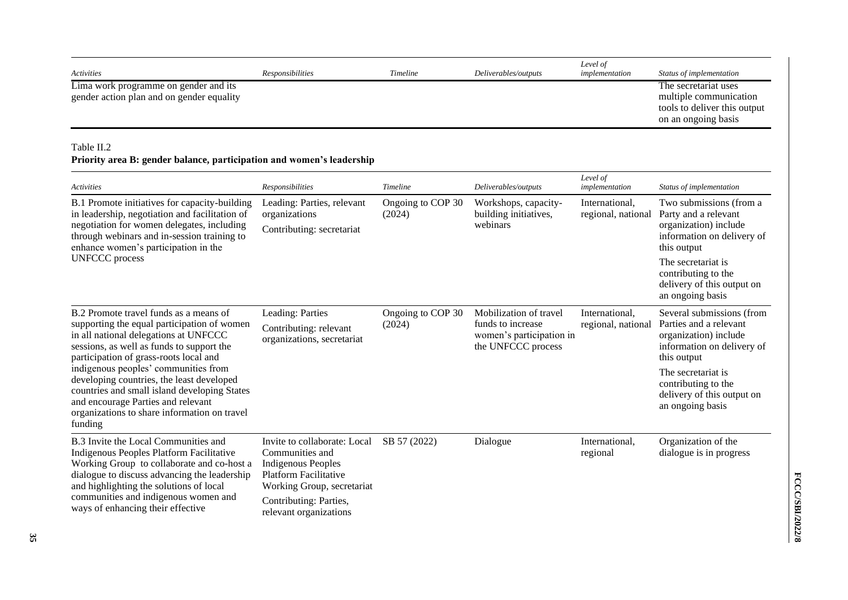| Activities                                                                                                                                                                                                                                                                                             | Responsibilities                                                                                                                                                                               | Timeline                    | Deliverables/outputs                                                                          | Level of<br>implementation           | Status of implementation                                                                                                  |
|--------------------------------------------------------------------------------------------------------------------------------------------------------------------------------------------------------------------------------------------------------------------------------------------------------|------------------------------------------------------------------------------------------------------------------------------------------------------------------------------------------------|-----------------------------|-----------------------------------------------------------------------------------------------|--------------------------------------|---------------------------------------------------------------------------------------------------------------------------|
| Lima work programme on gender and its<br>gender action plan and on gender equality                                                                                                                                                                                                                     |                                                                                                                                                                                                |                             |                                                                                               |                                      | The secretariat uses<br>multiple communication<br>tools to deliver this output<br>on an ongoing basis                     |
| Table II.2<br>Priority area B: gender balance, participation and women's leadership                                                                                                                                                                                                                    |                                                                                                                                                                                                |                             |                                                                                               |                                      |                                                                                                                           |
| Activities                                                                                                                                                                                                                                                                                             | Responsibilities                                                                                                                                                                               | Timeline                    | Deliverables/outputs                                                                          | Level of<br>implementation           | Status of implementation                                                                                                  |
| B.1 Promote initiatives for capacity-building<br>in leadership, negotiation and facilitation of<br>negotiation for women delegates, including<br>through webinars and in-session training to<br>enhance women's participation in the                                                                   | Leading: Parties, relevant<br>organizations<br>Contributing: secretariat                                                                                                                       | Ongoing to COP 30<br>(2024) | Workshops, capacity-<br>building initiatives,<br>webinars                                     | International,<br>regional, national | Two submissions (from a<br>Party and a relevant<br>organization) include<br>information on delivery of<br>this output     |
| <b>UNFCCC</b> process                                                                                                                                                                                                                                                                                  |                                                                                                                                                                                                |                             |                                                                                               |                                      | The secretariat is<br>contributing to the<br>delivery of this output on<br>an ongoing basis                               |
| B.2 Promote travel funds as a means of<br>supporting the equal participation of women<br>in all national delegations at UNFCCC<br>sessions, as well as funds to support the<br>participation of grass-roots local and                                                                                  | Leading: Parties<br>Contributing: relevant<br>organizations, secretariat                                                                                                                       | Ongoing to COP 30<br>(2024) | Mobilization of travel<br>funds to increase<br>women's participation in<br>the UNFCCC process | International,<br>regional, national | Several submissions (from<br>Parties and a relevant<br>organization) include<br>information on delivery of<br>this output |
| indigenous peoples' communities from<br>developing countries, the least developed<br>countries and small island developing States<br>and encourage Parties and relevant<br>organizations to share information on travel<br>funding                                                                     |                                                                                                                                                                                                |                             |                                                                                               |                                      | The secretariat is<br>contributing to the<br>delivery of this output on<br>an ongoing basis                               |
| B.3 Invite the Local Communities and<br>Indigenous Peoples Platform Facilitative<br>Working Group to collaborate and co-host a<br>dialogue to discuss advancing the leadership<br>and highlighting the solutions of local<br>communities and indigenous women and<br>ways of enhancing their effective | Invite to collaborate: Local<br>Communities and<br><b>Indigenous Peoples</b><br><b>Platform Facilitative</b><br>Working Group, secretariat<br>Contributing: Parties,<br>relevant organizations | SB 57 (2022)                | Dialogue                                                                                      | International,<br>regional           | Organization of the<br>dialogue is in progress                                                                            |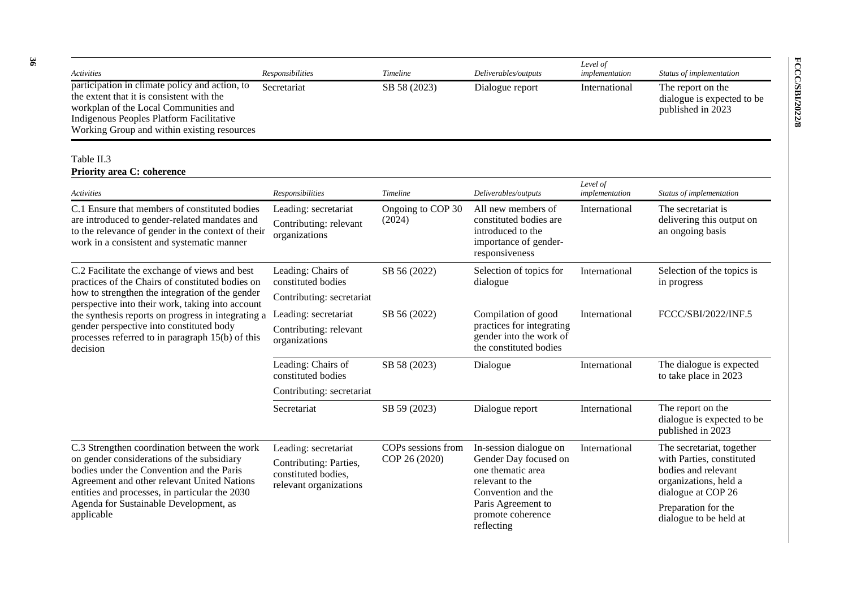| Activities                                                                                                                                                                                                                                                                                       | Responsibilities                                                                                | <b>Timeline</b>                     | Deliverables/outputs                                                                                                                                                   | Level of<br>implementation | Status of implementation                                                                                                                                                      |
|--------------------------------------------------------------------------------------------------------------------------------------------------------------------------------------------------------------------------------------------------------------------------------------------------|-------------------------------------------------------------------------------------------------|-------------------------------------|------------------------------------------------------------------------------------------------------------------------------------------------------------------------|----------------------------|-------------------------------------------------------------------------------------------------------------------------------------------------------------------------------|
| participation in climate policy and action, to<br>the extent that it is consistent with the<br>workplan of the Local Communities and<br>Indigenous Peoples Platform Facilitative<br>Working Group and within existing resources                                                                  | Secretariat                                                                                     | SB 58 (2023)                        | Dialogue report                                                                                                                                                        | International              | The report on the<br>dialogue is expected to be<br>published in 2023                                                                                                          |
| Table II.3<br><b>Priority area C: coherence</b>                                                                                                                                                                                                                                                  |                                                                                                 |                                     |                                                                                                                                                                        |                            |                                                                                                                                                                               |
| Activities                                                                                                                                                                                                                                                                                       | Responsibilities                                                                                | Timeline                            | Deliverables/outputs                                                                                                                                                   | Level of<br>implementation | Status of implementation                                                                                                                                                      |
| C.1 Ensure that members of constituted bodies<br>are introduced to gender-related mandates and<br>to the relevance of gender in the context of their<br>work in a consistent and systematic manner                                                                                               | Leading: secretariat<br>Contributing: relevant<br>organizations                                 | Ongoing to COP 30<br>(2024)         | All new members of<br>constituted bodies are<br>introduced to the<br>importance of gender-<br>responsiveness                                                           | International              | The secretariat is<br>delivering this output on<br>an ongoing basis                                                                                                           |
| C.2 Facilitate the exchange of views and best<br>practices of the Chairs of constituted bodies on<br>how to strengthen the integration of the gender<br>perspective into their work, taking into account                                                                                         | Leading: Chairs of<br>constituted bodies<br>Contributing: secretariat                           | SB 56 (2022)                        | Selection of topics for<br>dialogue                                                                                                                                    | International              | Selection of the topics is<br>in progress                                                                                                                                     |
| the synthesis reports on progress in integrating a<br>gender perspective into constituted body<br>processes referred to in paragraph 15(b) of this<br>decision                                                                                                                                   | Leading: secretariat<br>Contributing: relevant<br>organizations                                 | SB 56 (2022)                        | Compilation of good<br>practices for integrating<br>gender into the work of<br>the constituted bodies                                                                  | International              | FCCC/SBI/2022/INF.5                                                                                                                                                           |
|                                                                                                                                                                                                                                                                                                  | Leading: Chairs of<br>constituted bodies<br>Contributing: secretariat                           | SB 58 (2023)                        | Dialogue                                                                                                                                                               | International              | The dialogue is expected<br>to take place in 2023                                                                                                                             |
|                                                                                                                                                                                                                                                                                                  | Secretariat                                                                                     | SB 59 (2023)                        | Dialogue report                                                                                                                                                        | International              | The report on the<br>dialogue is expected to be<br>published in 2023                                                                                                          |
| C.3 Strengthen coordination between the work<br>on gender considerations of the subsidiary<br>bodies under the Convention and the Paris<br>Agreement and other relevant United Nations<br>entities and processes, in particular the 2030<br>Agenda for Sustainable Development, as<br>applicable | Leading: secretariat<br>Contributing: Parties,<br>constituted bodies,<br>relevant organizations | COPs sessions from<br>COP 26 (2020) | In-session dialogue on<br>Gender Day focused on<br>one thematic area<br>relevant to the<br>Convention and the<br>Paris Agreement to<br>promote coherence<br>reflecting | International              | The secretariat, together<br>with Parties, constituted<br>bodies and relevant<br>organizations, held a<br>dialogue at COP 26<br>Preparation for the<br>dialogue to be held at |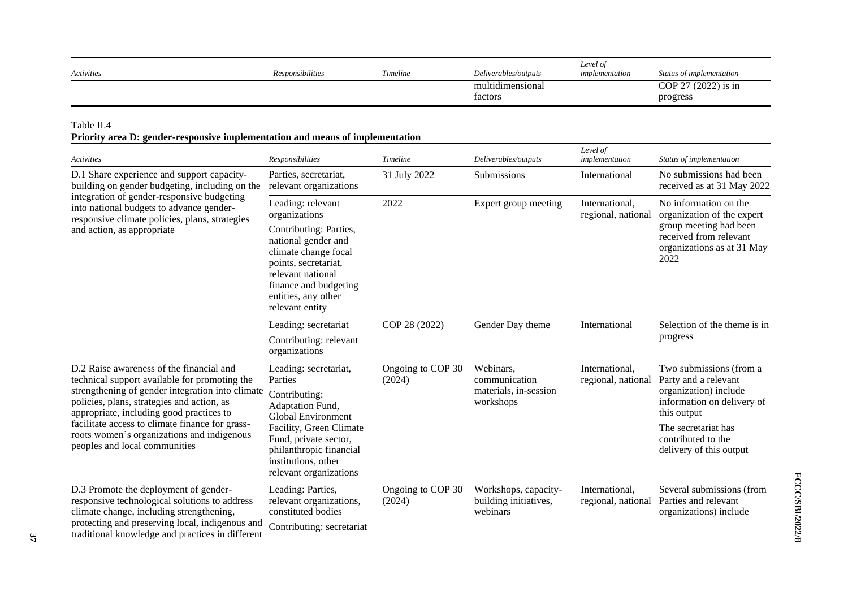| Activities                                                                                                                                                                                                                                                                                                                                                                | Responsibilities                                                                                                                                                                                                            | Timeline                    | Deliverables/outputs                                             | Level of<br>implementation           | Status of implementation                                                                                                                                                                      |
|---------------------------------------------------------------------------------------------------------------------------------------------------------------------------------------------------------------------------------------------------------------------------------------------------------------------------------------------------------------------------|-----------------------------------------------------------------------------------------------------------------------------------------------------------------------------------------------------------------------------|-----------------------------|------------------------------------------------------------------|--------------------------------------|-----------------------------------------------------------------------------------------------------------------------------------------------------------------------------------------------|
|                                                                                                                                                                                                                                                                                                                                                                           |                                                                                                                                                                                                                             |                             | multidimensional<br>factors                                      |                                      | COP 27 (2022) is in<br>progress                                                                                                                                                               |
| Table II.4<br>Priority area D: gender-responsive implementation and means of implementation                                                                                                                                                                                                                                                                               |                                                                                                                                                                                                                             |                             |                                                                  |                                      |                                                                                                                                                                                               |
| Activities                                                                                                                                                                                                                                                                                                                                                                | Responsibilities                                                                                                                                                                                                            | Timeline                    | Deliverables/outputs                                             | Level of<br>implementation           | Status of implementation                                                                                                                                                                      |
| D.1 Share experience and support capacity-<br>building on gender budgeting, including on the                                                                                                                                                                                                                                                                              | Parties, secretariat,<br>relevant organizations                                                                                                                                                                             | 31 July 2022                | Submissions                                                      | International                        | No submissions had been<br>received as at 31 May 2022                                                                                                                                         |
| integration of gender-responsive budgeting<br>into national budgets to advance gender-<br>responsive climate policies, plans, strategies<br>and action, as appropriate                                                                                                                                                                                                    | Leading: relevant<br>organizations<br>Contributing: Parties,<br>national gender and<br>climate change focal<br>points, secretariat,<br>relevant national<br>finance and budgeting<br>entities, any other<br>relevant entity | 2022                        | Expert group meeting                                             | International,<br>regional, national | No information on the<br>organization of the expert<br>group meeting had been<br>received from relevant<br>organizations as at 31 May<br>2022                                                 |
|                                                                                                                                                                                                                                                                                                                                                                           | Leading: secretariat<br>Contributing: relevant<br>organizations                                                                                                                                                             | COP 28 (2022)               | Gender Day theme                                                 | International                        | Selection of the theme is in<br>progress                                                                                                                                                      |
| D.2 Raise awareness of the financial and<br>technical support available for promoting the<br>strengthening of gender integration into climate<br>policies, plans, strategies and action, as<br>appropriate, including good practices to<br>facilitate access to climate finance for grass-<br>roots women's organizations and indigenous<br>peoples and local communities | Leading: secretariat,<br>Parties<br>Contributing:<br>Adaptation Fund,<br>Global Environment<br>Facility, Green Climate<br>Fund, private sector,<br>philanthropic financial<br>institutions, other<br>relevant organizations | Ongoing to COP 30<br>(2024) | Webinars,<br>communication<br>materials, in-session<br>workshops | International,<br>regional, national | Two submissions (from a<br>Party and a relevant<br>organization) include<br>information on delivery of<br>this output<br>The secretariat has<br>contributed to the<br>delivery of this output |
| D.3 Promote the deployment of gender-<br>responsive technological solutions to address<br>climate change, including strengthening,<br>protecting and preserving local, indigenous and<br>traditional knowledge and practices in different                                                                                                                                 | Leading: Parties,<br>relevant organizations,<br>constituted bodies<br>Contributing: secretariat                                                                                                                             | Ongoing to COP 30<br>(2024) | Workshops, capacity-<br>building initiatives,<br>webinars        | International,<br>regional, national | Several submissions (from<br>Parties and relevant<br>organizations) include                                                                                                                   |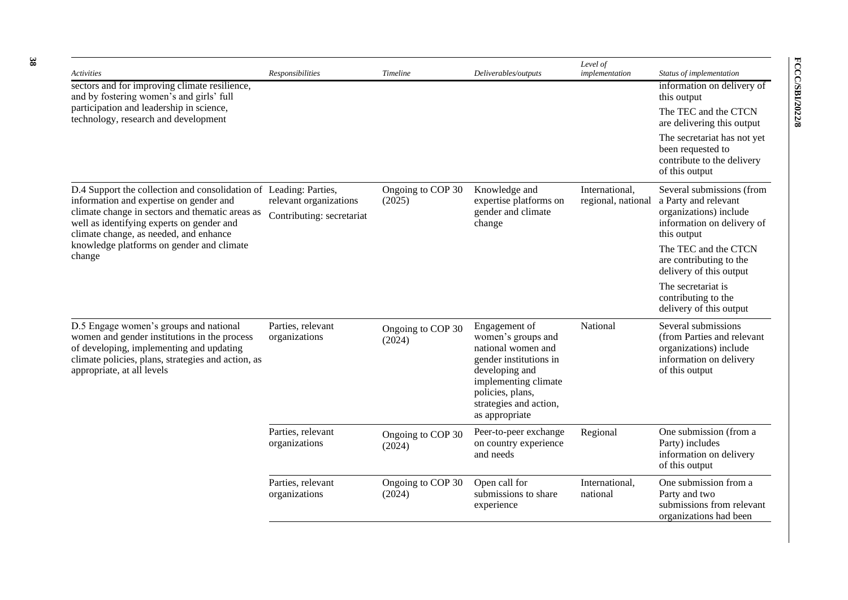| <b>Activities</b>                                                                                                                                                                                                      | Responsibilities                   | <b>Timeline</b>             | Deliverables/outputs                                                                                                                                                                          | Level of<br>implementation           | Status of implementation                                                                                                 |
|------------------------------------------------------------------------------------------------------------------------------------------------------------------------------------------------------------------------|------------------------------------|-----------------------------|-----------------------------------------------------------------------------------------------------------------------------------------------------------------------------------------------|--------------------------------------|--------------------------------------------------------------------------------------------------------------------------|
| sectors and for improving climate resilience,<br>and by fostering women's and girls' full                                                                                                                              |                                    |                             |                                                                                                                                                                                               |                                      | information on delivery of<br>this output                                                                                |
| participation and leadership in science,<br>technology, research and development                                                                                                                                       |                                    |                             |                                                                                                                                                                                               |                                      | The TEC and the CTCN<br>are delivering this output                                                                       |
|                                                                                                                                                                                                                        |                                    |                             |                                                                                                                                                                                               |                                      | The secretariat has not yet<br>been requested to<br>contribute to the delivery<br>of this output                         |
| D.4 Support the collection and consolidation of Leading: Parties,<br>information and expertise on gender and                                                                                                           | relevant organizations             | Ongoing to COP 30<br>(2025) | Knowledge and<br>expertise platforms on                                                                                                                                                       | International,<br>regional, national | Several submissions (from<br>a Party and relevant                                                                        |
| climate change in sectors and thematic areas as<br>well as identifying experts on gender and<br>climate change, as needed, and enhance                                                                                 | Contributing: secretariat          |                             | gender and climate<br>change                                                                                                                                                                  |                                      | organizations) include<br>information on delivery of<br>this output                                                      |
| knowledge platforms on gender and climate<br>change                                                                                                                                                                    |                                    |                             |                                                                                                                                                                                               |                                      | The TEC and the CTCN<br>are contributing to the<br>delivery of this output                                               |
|                                                                                                                                                                                                                        |                                    |                             |                                                                                                                                                                                               |                                      | The secretariat is<br>contributing to the<br>delivery of this output                                                     |
| D.5 Engage women's groups and national<br>women and gender institutions in the process<br>of developing, implementing and updating<br>climate policies, plans, strategies and action, as<br>appropriate, at all levels | Parties, relevant<br>organizations | Ongoing to COP 30<br>(2024) | Engagement of<br>women's groups and<br>national women and<br>gender institutions in<br>developing and<br>implementing climate<br>policies, plans,<br>strategies and action,<br>as appropriate | National                             | Several submissions<br>(from Parties and relevant<br>organizations) include<br>information on delivery<br>of this output |
|                                                                                                                                                                                                                        | Parties, relevant<br>organizations | Ongoing to COP 30<br>(2024) | Peer-to-peer exchange<br>on country experience<br>and needs                                                                                                                                   | Regional                             | One submission (from a<br>Party) includes<br>information on delivery<br>of this output                                   |
|                                                                                                                                                                                                                        | Parties, relevant<br>organizations | Ongoing to COP 30<br>(2024) | Open call for<br>submissions to share<br>experience                                                                                                                                           | International,<br>national           | One submission from a<br>Party and two<br>submissions from relevant<br>organizations had been                            |

**FCCC/SBI/2022/8**

FCCC/SBI/2022/8

**38**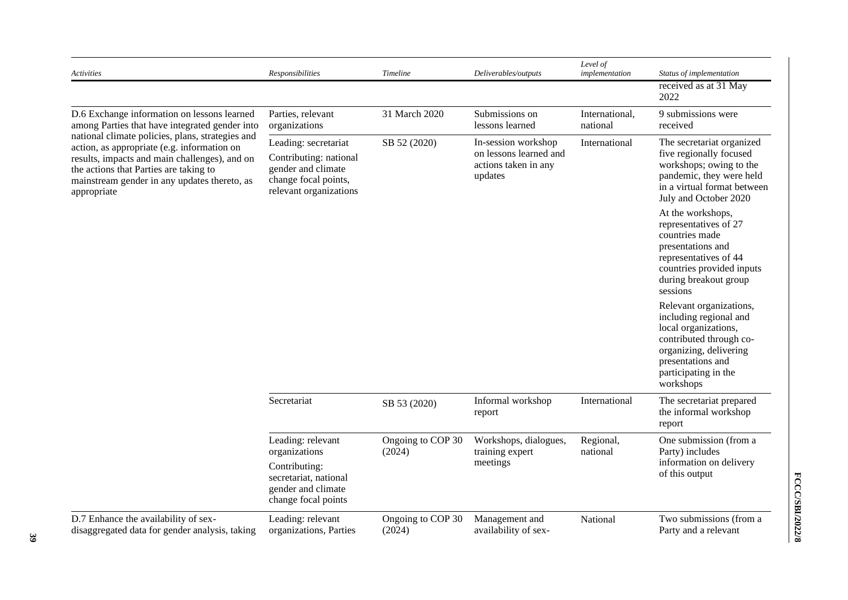| Activities                                                                                                                                                                                                                                                | <b>Responsibilities</b>                                                                                                | Timeline                    | Deliverables/outputs                                                             | Level of<br>implementation | Status of implementation                                                                                                                                                                 |
|-----------------------------------------------------------------------------------------------------------------------------------------------------------------------------------------------------------------------------------------------------------|------------------------------------------------------------------------------------------------------------------------|-----------------------------|----------------------------------------------------------------------------------|----------------------------|------------------------------------------------------------------------------------------------------------------------------------------------------------------------------------------|
|                                                                                                                                                                                                                                                           |                                                                                                                        |                             |                                                                                  |                            | received as at 31 May<br>2022                                                                                                                                                            |
| D.6 Exchange information on lessons learned<br>among Parties that have integrated gender into                                                                                                                                                             | Parties, relevant<br>organizations                                                                                     | 31 March 2020               | Submissions on<br>lessons learned                                                | International,<br>national | 9 submissions were<br>received                                                                                                                                                           |
| national climate policies, plans, strategies and<br>action, as appropriate (e.g. information on<br>results, impacts and main challenges), and on<br>the actions that Parties are taking to<br>mainstream gender in any updates thereto, as<br>appropriate | Leading: secretariat<br>Contributing: national<br>gender and climate<br>change focal points,<br>relevant organizations | SB 52 (2020)                | In-session workshop<br>on lessons learned and<br>actions taken in any<br>updates | International              | The secretariat organized<br>five regionally focused<br>workshops; owing to the<br>pandemic, they were held<br>in a virtual format between<br>July and October 2020                      |
|                                                                                                                                                                                                                                                           |                                                                                                                        |                             |                                                                                  |                            | At the workshops,<br>representatives of 27<br>countries made<br>presentations and<br>representatives of 44<br>countries provided inputs<br>during breakout group<br>sessions             |
|                                                                                                                                                                                                                                                           |                                                                                                                        |                             |                                                                                  |                            | Relevant organizations,<br>including regional and<br>local organizations,<br>contributed through co-<br>organizing, delivering<br>presentations and<br>participating in the<br>workshops |
|                                                                                                                                                                                                                                                           | Secretariat                                                                                                            | SB 53 (2020)                | Informal workshop<br>report                                                      | International              | The secretariat prepared<br>the informal workshop<br>report                                                                                                                              |
|                                                                                                                                                                                                                                                           | Leading: relevant<br>organizations                                                                                     | Ongoing to COP 30<br>(2024) | Workshops, dialogues,<br>training expert                                         | Regional,<br>national      | One submission (from a<br>Party) includes                                                                                                                                                |
|                                                                                                                                                                                                                                                           | Contributing:<br>secretariat, national<br>gender and climate<br>change focal points                                    |                             | meetings                                                                         |                            | information on delivery<br>of this output                                                                                                                                                |
| D.7 Enhance the availability of sex-<br>disaggregated data for gender analysis, taking                                                                                                                                                                    | Leading: relevant<br>organizations, Parties                                                                            | Ongoing to COP 30<br>(2024) | Management and<br>availability of sex-                                           | National                   | Two submissions (from a<br>Party and a relevant                                                                                                                                          |